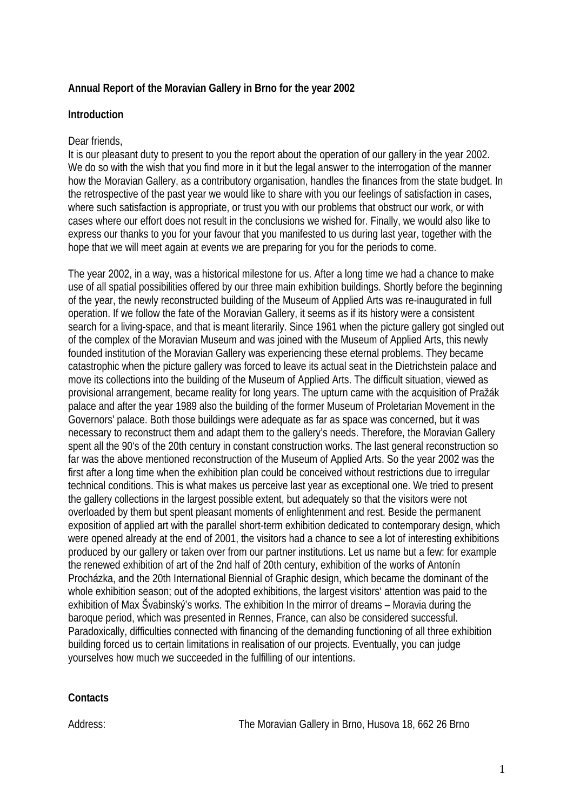# **Annual Report of the Moravian Gallery in Brno for the year 2002**

### **Introduction**

#### Dear friends,

It is our pleasant duty to present to you the report about the operation of our gallery in the year 2002. We do so with the wish that you find more in it but the legal answer to the interrogation of the manner how the Moravian Gallery, as a contributory organisation, handles the finances from the state budget. In the retrospective of the past year we would like to share with you our feelings of satisfaction in cases, where such satisfaction is appropriate, or trust you with our problems that obstruct our work, or with cases where our effort does not result in the conclusions we wished for. Finally, we would also like to express our thanks to you for your favour that you manifested to us during last year, together with the hope that we will meet again at events we are preparing for you for the periods to come.

The year 2002, in a way, was a historical milestone for us. After a long time we had a chance to make use of all spatial possibilities offered by our three main exhibition buildings. Shortly before the beginning of the year, the newly reconstructed building of the Museum of Applied Arts was re-inaugurated in full operation. If we follow the fate of the Moravian Gallery, it seems as if its history were a consistent search for a living-space, and that is meant literarily. Since 1961 when the picture gallery got singled out of the complex of the Moravian Museum and was joined with the Museum of Applied Arts, this newly founded institution of the Moravian Gallery was experiencing these eternal problems. They became catastrophic when the picture gallery was forced to leave its actual seat in the Dietrichstein palace and move its collections into the building of the Museum of Applied Arts. The difficult situation, viewed as provisional arrangement, became reality for long years. The upturn came with the acquisition of Pražák palace and after the year 1989 also the building of the former Museum of Proletarian Movement in the Governors' palace. Both those buildings were adequate as far as space was concerned, but it was necessary to reconstruct them and adapt them to the gallery's needs. Therefore, the Moravian Gallery spent all the 90's of the 20th century in constant construction works. The last general reconstruction so far was the above mentioned reconstruction of the Museum of Applied Arts. So the year 2002 was the first after a long time when the exhibition plan could be conceived without restrictions due to irregular technical conditions. This is what makes us perceive last year as exceptional one. We tried to present the gallery collections in the largest possible extent, but adequately so that the visitors were not overloaded by them but spent pleasant moments of enlightenment and rest. Beside the permanent exposition of applied art with the parallel short-term exhibition dedicated to contemporary design, which were opened already at the end of 2001, the visitors had a chance to see a lot of interesting exhibitions produced by our gallery or taken over from our partner institutions. Let us name but a few: for example the renewed exhibition of art of the 2nd half of 20th century, exhibition of the works of Antonín Procházka, and the 20th International Biennial of Graphic design, which became the dominant of the whole exhibition season; out of the adopted exhibitions, the largest visitors' attention was paid to the exhibition of Max Švabinský's works. The exhibition In the mirror of dreams – Moravia during the baroque period, which was presented in Rennes, France, can also be considered successful. Paradoxically, difficulties connected with financing of the demanding functioning of all three exhibition building forced us to certain limitations in realisation of our projects. Eventually, you can judge yourselves how much we succeeded in the fulfilling of our intentions.

#### **Contacts**

Address: The Moravian Gallery in Brno, Husova 18, 662 26 Brno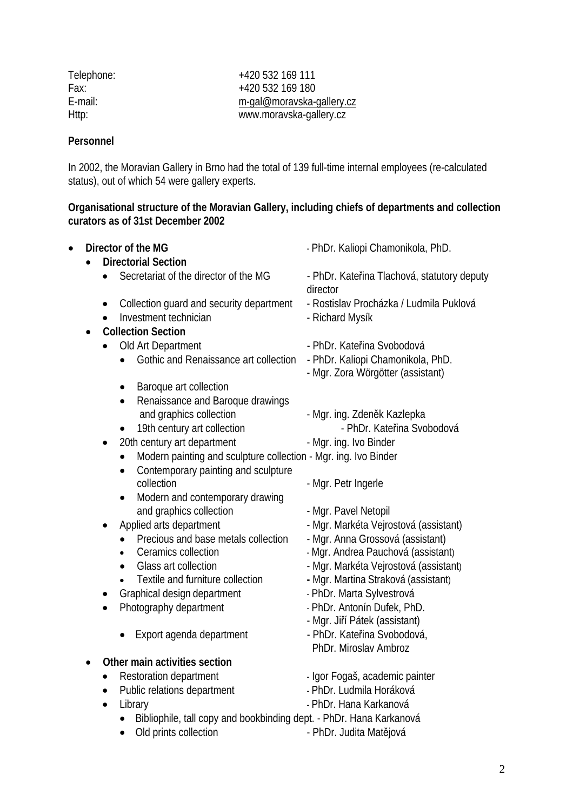| Telephone: |
|------------|
| Fax:       |
| F-mail:    |
| Http:      |

Telephone: +420 532 169 111 +420 532 169 180 [m-gal@moravska-gallery.cz](mailto:m-gal@moravska-galerie.cz) ttp: www.moravska-gallery.cz

### **Personnel**

In 2002, the Moravian Gallery in Brno had the total of 139 full-time internal employees (re-calculated status), out of which 54 were gallery experts.

# **Organisational structure of the Moravian Gallery, including chiefs of departments and collection curators as of 31st December 2002**

| $\bullet$ | Director of the MG<br><b>Directorial Section</b>                                            | - PhDr. Kaliopi Chamonikola, PhD.                                      |
|-----------|---------------------------------------------------------------------------------------------|------------------------------------------------------------------------|
|           | Secretariat of the director of the MG<br>$\bullet$                                          | - PhDr. Kateřina Tlachová, statutory deputy<br>director                |
|           | Collection guard and security department<br>$\bullet$<br>Investment technician<br>$\bullet$ | - Rostislav Procházka / Ludmila Puklová<br>- Richard Mysík             |
|           | <b>Collection Section</b>                                                                   |                                                                        |
|           | Old Art Department<br>$\bullet$                                                             | - PhDr. Kateřina Svobodová                                             |
|           | Gothic and Renaissance art collection<br>$\bullet$                                          | - PhDr. Kaliopi Chamonikola, PhD.<br>- Mgr. Zora Wörgötter (assistant) |
|           | Baroque art collection<br>$\bullet$<br>Renaissance and Baroque drawings<br>$\bullet$        |                                                                        |
|           | and graphics collection                                                                     | - Mgr. ing. Zdeněk Kazlepka                                            |
|           | 19th century art collection<br>$\bullet$                                                    | - PhDr. Kateřina Svobodová                                             |
|           | 20th century art department<br>٠                                                            | - Mgr. ing. Ivo Binder                                                 |
|           | Modern painting and sculpture collection - Mgr. ing. Ivo Binder<br>$\bullet$                |                                                                        |
|           | Contemporary painting and sculpture<br>$\bullet$                                            |                                                                        |
|           | collection                                                                                  | - Mgr. Petr Ingerle                                                    |
|           | Modern and contemporary drawing<br>$\bullet$                                                |                                                                        |
|           | and graphics collection                                                                     | - Mgr. Pavel Netopil                                                   |
|           | Applied arts department<br>٠                                                                | - Mgr. Markéta Vejrostová (assistant)                                  |
|           | Precious and base metals collection                                                         | - Mgr. Anna Grossová (assistant)                                       |
|           | Ceramics collection                                                                         | - Mgr. Andrea Pauchová (assistant)                                     |
|           | Glass art collection                                                                        | - Mgr. Markéta Vejrostová (assistant)                                  |
|           | Textile and furniture collection                                                            | - Mgr. Martina Straková (assistant)                                    |
|           | Graphical design department<br>$\bullet$                                                    | - PhDr. Marta Sylvestrová                                              |
|           | Photography department<br>$\bullet$                                                         | - PhDr. Antonín Dufek, PhD.                                            |
|           |                                                                                             | - Mgr. Jiří Pátek (assistant)                                          |
|           | Export agenda department                                                                    | - PhDr. Kateřina Svobodová,                                            |
|           |                                                                                             | PhDr. Miroslav Ambroz                                                  |
|           | Other main activities section<br>$\bullet$                                                  |                                                                        |
|           | Restoration department<br>$\bullet$                                                         | - Igor Fogaš, academic painter                                         |
|           | Public relations department<br>$\bullet$                                                    | - PhDr. Ludmila Horáková                                               |
|           | Library<br>$\bullet$                                                                        | - PhDr. Hana Karkanová                                                 |
|           | Bibliophile, tall copy and bookbinding dept. - PhDr. Hana Karkanová<br>$\bullet$            |                                                                        |
|           | Old prints collection<br>$\bullet$                                                          | - PhDr. Judita Matějová                                                |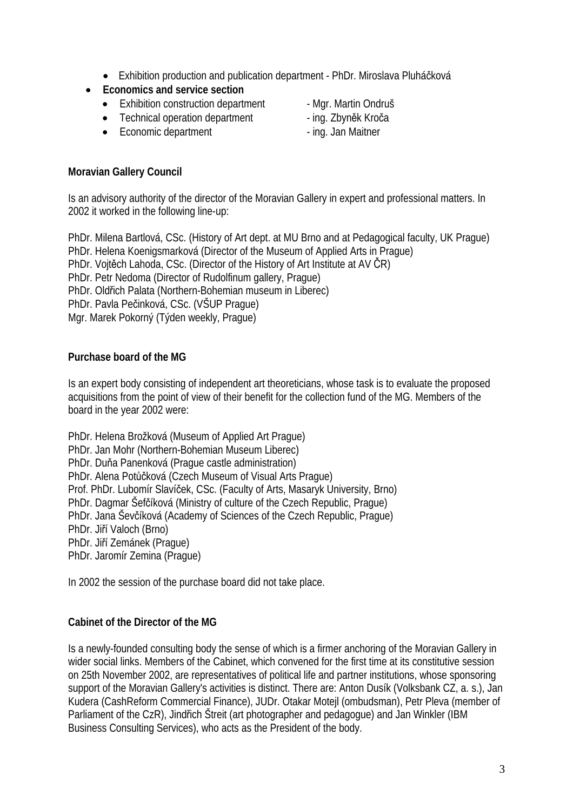- Exhibition production and publication department PhDr. Miroslava Pluháčková
- **Economics and service section** 
	- Exhibition construction department Mar. Martin Ondruš
	- Technical operation department ing. Zbyněk Kroča
	- Economic department ing. Jan Maitner
- 
- 
- 

# **Moravian Gallery Council**

Is an advisory authority of the director of the Moravian Gallery in expert and professional matters. In 2002 it worked in the following line-up:

PhDr. Milena Bartlová, CSc. (History of Art dept. at MU Brno and at Pedagogical faculty, UK Prague) PhDr. Helena Koenigsmarková (Director of the Museum of Applied Arts in Prague) PhDr. Vojtěch Lahoda, CSc. (Director of the History of Art Institute at AV ČR) PhDr. Petr Nedoma (Director of Rudolfinum gallery, Prague) PhDr. Oldřich Palata (Northern-Bohemian museum in Liberec) PhDr. Pavla Pečinková, CSc. (VŠUP Prague) Mgr. Marek Pokorný (Týden weekly, Prague)

# **Purchase board of the MG**

Is an expert body consisting of independent art theoreticians, whose task is to evaluate the proposed acquisitions from the point of view of their benefit for the collection fund of the MG. Members of the board in the year 2002 were:

PhDr. Helena Brožková (Museum of Applied Art Prague) PhDr. Jan Mohr (Northern-Bohemian Museum Liberec) PhDr. Duňa Panenková (Prague castle administration) PhDr. Alena Potůčková (Czech Museum of Visual Arts Prague) Prof. PhDr. Lubomír Slavíček, CSc. (Faculty of Arts, Masaryk University, Brno) PhDr. Dagmar Šefčíková (Ministry of culture of the Czech Republic, Prague) PhDr. Jana Ševčíková (Academy of Sciences of the Czech Republic, Prague) PhDr. Jiří Valoch (Brno) PhDr. Jiří Zemánek (Prague) PhDr. Jaromír Zemina (Prague)

In 2002 the session of the purchase board did not take place.

# **Cabinet of the Director of the MG**

Is a newly-founded consulting body the sense of which is a firmer anchoring of the Moravian Gallery in wider social links. Members of the Cabinet, which convened for the first time at its constitutive session on 25th November 2002, are representatives of political life and partner institutions, whose sponsoring support of the Moravian Gallery's activities is distinct. There are: Anton Dusík (Volksbank CZ, a. s.), Jan Kudera (CashReform Commercial Finance), JUDr. Otakar Motejl (ombudsman), Petr Pleva (member of Parliament of the CzR), Jindřich Štreit (art photographer and pedagogue) and Jan Winkler (IBM Business Consulting Services), who acts as the President of the body.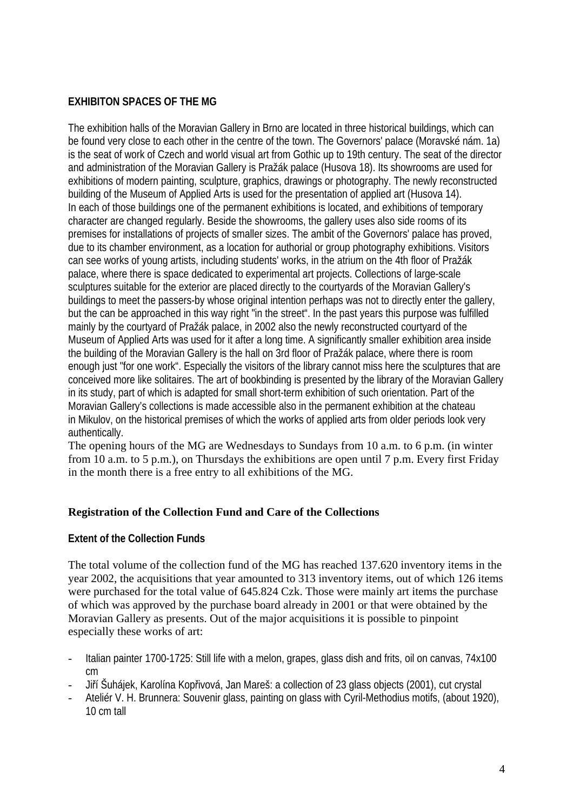# **EXHIBITON SPACES OF THE MG**

The exhibition halls of the Moravian Gallery in Brno are located in three historical buildings, which can be found very close to each other in the centre of the town. The Governors' palace (Moravské nám. 1a) is the seat of work of Czech and world visual art from Gothic up to 19th century. The seat of the director and administration of the Moravian Gallery is Pražák palace (Husova 18). Its showrooms are used for exhibitions of modern painting, sculpture, graphics, drawings or photography. The newly reconstructed building of the Museum of Applied Arts is used for the presentation of applied art (Husova 14). In each of those buildings one of the permanent exhibitions is located, and exhibitions of temporary character are changed regularly. Beside the showrooms, the gallery uses also side rooms of its premises for installations of projects of smaller sizes. The ambit of the Governors' palace has proved, due to its chamber environment, as a location for authorial or group photography exhibitions. Visitors can see works of young artists, including students' works, in the atrium on the 4th floor of Pražák palace, where there is space dedicated to experimental art projects. Collections of large-scale sculptures suitable for the exterior are placed directly to the courtyards of the Moravian Gallery's buildings to meet the passers-by whose original intention perhaps was not to directly enter the gallery, but the can be approached in this way right "in the street". In the past years this purpose was fulfilled mainly by the courtyard of Pražák palace, in 2002 also the newly reconstructed courtyard of the Museum of Applied Arts was used for it after a long time. A significantly smaller exhibition area inside the building of the Moravian Gallery is the hall on 3rd floor of Pražák palace, where there is room enough just "for one work". Especially the visitors of the library cannot miss here the sculptures that are conceived more like solitaires. The art of bookbinding is presented by the library of the Moravian Gallery in its study, part of which is adapted for small short-term exhibition of such orientation. Part of the Moravian Gallery's collections is made accessible also in the permanent exhibition at the chateau in Mikulov, on the historical premises of which the works of applied arts from older periods look very authentically.

The opening hours of the MG are Wednesdays to Sundays from 10 a.m. to 6 p.m. (in winter from 10 a.m. to 5 p.m.), on Thursdays the exhibitions are open until 7 p.m. Every first Friday in the month there is a free entry to all exhibitions of the MG.

# **Registration of the Collection Fund and Care of the Collections**

### **Extent of the Collection Funds**

The total volume of the collection fund of the MG has reached 137.620 inventory items in the year 2002, the acquisitions that year amounted to 313 inventory items, out of which 126 items were purchased for the total value of 645.824 Czk. Those were mainly art items the purchase of which was approved by the purchase board already in 2001 or that were obtained by the Moravian Gallery as presents. Out of the major acquisitions it is possible to pinpoint especially these works of art:

- Italian painter 1700-1725: Still life with a melon, grapes, glass dish and frits, oil on canvas, 74x100 cm
- Jiří Šuhájek, Karolína Kopřivová, Jan Mareš: a collection of 23 glass objects (2001), cut crystal
- Ateliér V. H. Brunnera: Souvenir glass, painting on glass with Cyril-Methodius motifs, (about 1920), 10 cm tall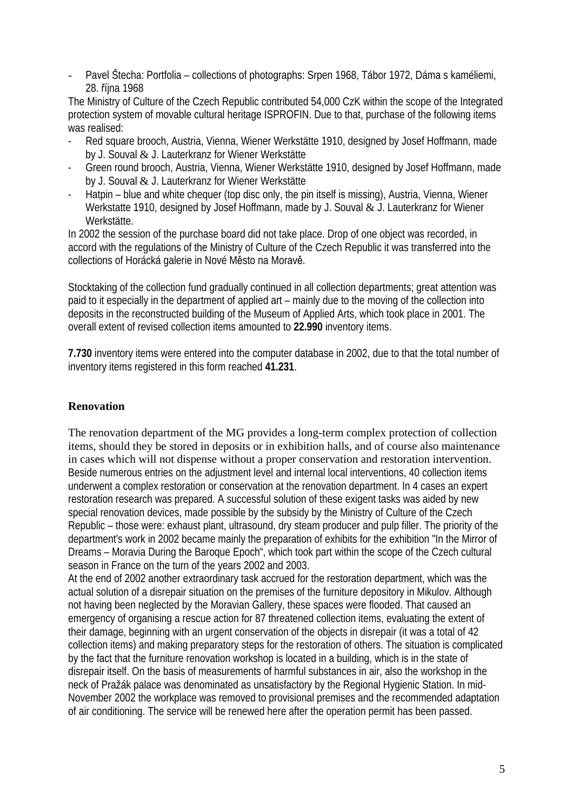- Pavel Štecha: Portfolia – collections of photographs: Srpen 1968, Tábor 1972, Dáma s kaméliemi, 28. října 1968

The Ministry of Culture of the Czech Republic contributed 54,000 CzK within the scope of the Integrated protection system of movable cultural heritage ISPROFIN. Due to that, purchase of the following items was realised:

- Red square brooch, Austria, Vienna, Wiener Werkstätte 1910, designed by Josef Hoffmann, made by J. Souval & J. Lauterkranz for Wiener Werkstätte
- Green round brooch, Austria, Vienna, Wiener Werkstätte 1910, designed by Josef Hoffmann, made by J. Souval & J. Lauterkranz for Wiener Werkstätte
- Hatpin blue and white chequer (top disc only, the pin itself is missing), Austria, Vienna, Wiener Werkstatte 1910, designed by Josef Hoffmann, made by J. Souval & J. Lauterkranz for Wiener Werkstätte.

In 2002 the session of the purchase board did not take place. Drop of one object was recorded, in accord with the regulations of the Ministry of Culture of the Czech Republic it was transferred into the collections of Horácká galerie in Nové Město na Moravě.

Stocktaking of the collection fund gradually continued in all collection departments; great attention was paid to it especially in the department of applied art – mainly due to the moving of the collection into deposits in the reconstructed building of the Museum of Applied Arts, which took place in 2001. The overall extent of revised collection items amounted to **22.990** inventory items.

**7.730** inventory items were entered into the computer database in 2002, due to that the total number of inventory items registered in this form reached **41.231**.

# **Renovation**

The renovation department of the MG provides a long-term complex protection of collection items, should they be stored in deposits or in exhibition halls, and of course also maintenance in cases which will not dispense without a proper conservation and restoration intervention. Beside numerous entries on the adjustment level and internal local interventions, 40 collection items underwent a complex restoration or conservation at the renovation department. In 4 cases an expert restoration research was prepared. A successful solution of these exigent tasks was aided by new special renovation devices, made possible by the subsidy by the Ministry of Culture of the Czech Republic – those were: exhaust plant, ultrasound, dry steam producer and pulp filler. The priority of the department's work in 2002 became mainly the preparation of exhibits for the exhibition "In the Mirror of Dreams – Moravia During the Baroque Epoch", which took part within the scope of the Czech cultural season in France on the turn of the years 2002 and 2003.

At the end of 2002 another extraordinary task accrued for the restoration department, which was the actual solution of a disrepair situation on the premises of the furniture depository in Mikulov. Although not having been neglected by the Moravian Gallery, these spaces were flooded. That caused an emergency of organising a rescue action for 87 threatened collection items, evaluating the extent of their damage, beginning with an urgent conservation of the objects in disrepair (it was a total of 42 collection items) and making preparatory steps for the restoration of others. The situation is complicated by the fact that the furniture renovation workshop is located in a building, which is in the state of disrepair itself. On the basis of measurements of harmful substances in air, also the workshop in the neck of Pražák palace was denominated as unsatisfactory by the Regional Hygienic Station. In mid-November 2002 the workplace was removed to provisional premises and the recommended adaptation of air conditioning. The service will be renewed here after the operation permit has been passed.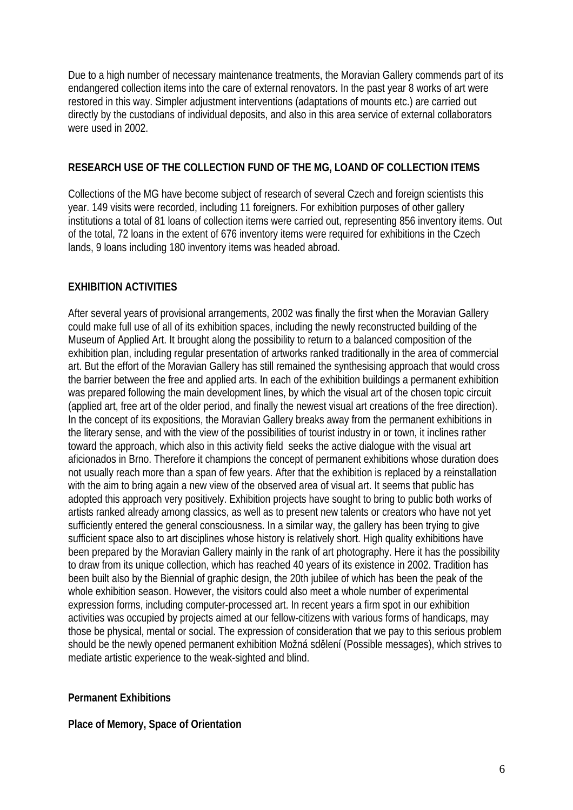Due to a high number of necessary maintenance treatments, the Moravian Gallery commends part of its endangered collection items into the care of external renovators. In the past year 8 works of art were restored in this way. Simpler adjustment interventions (adaptations of mounts etc.) are carried out directly by the custodians of individual deposits, and also in this area service of external collaborators were used in 2002.

# **RESEARCH USE OF THE COLLECTION FUND OF THE MG, LOAND OF COLLECTION ITEMS**

Collections of the MG have become subject of research of several Czech and foreign scientists this year. 149 visits were recorded, including 11 foreigners. For exhibition purposes of other gallery institutions a total of 81 loans of collection items were carried out, representing 856 inventory items. Out of the total, 72 loans in the extent of 676 inventory items were required for exhibitions in the Czech lands, 9 loans including 180 inventory items was headed abroad.

# **EXHIBITION ACTIVITIES**

After several years of provisional arrangements, 2002 was finally the first when the Moravian Gallery could make full use of all of its exhibition spaces, including the newly reconstructed building of the Museum of Applied Art. It brought along the possibility to return to a balanced composition of the exhibition plan, including regular presentation of artworks ranked traditionally in the area of commercial art. But the effort of the Moravian Gallery has still remained the synthesising approach that would cross the barrier between the free and applied arts. In each of the exhibition buildings a permanent exhibition was prepared following the main development lines, by which the visual art of the chosen topic circuit (applied art, free art of the older period, and finally the newest visual art creations of the free direction). In the concept of its expositions, the Moravian Gallery breaks away from the permanent exhibitions in the literary sense, and with the view of the possibilities of tourist industry in or town, it inclines rather toward the approach, which also in this activity field seeks the active dialogue with the visual art aficionados in Brno. Therefore it champions the concept of permanent exhibitions whose duration does not usually reach more than a span of few years. After that the exhibition is replaced by a reinstallation with the aim to bring again a new view of the observed area of visual art. It seems that public has adopted this approach very positively. Exhibition projects have sought to bring to public both works of artists ranked already among classics, as well as to present new talents or creators who have not yet sufficiently entered the general consciousness. In a similar way, the gallery has been trying to give sufficient space also to art disciplines whose history is relatively short. High quality exhibitions have been prepared by the Moravian Gallery mainly in the rank of art photography. Here it has the possibility to draw from its unique collection, which has reached 40 years of its existence in 2002. Tradition has been built also by the Biennial of graphic design, the 20th jubilee of which has been the peak of the whole exhibition season. However, the visitors could also meet a whole number of experimental expression forms, including computer-processed art. In recent years a firm spot in our exhibition activities was occupied by projects aimed at our fellow-citizens with various forms of handicaps, may those be physical, mental or social. The expression of consideration that we pay to this serious problem should be the newly opened permanent exhibition Možná sdělení (Possible messages), which strives to mediate artistic experience to the weak-sighted and blind.

### **Permanent Exhibitions**

### **Place of Memory, Space of Orientation**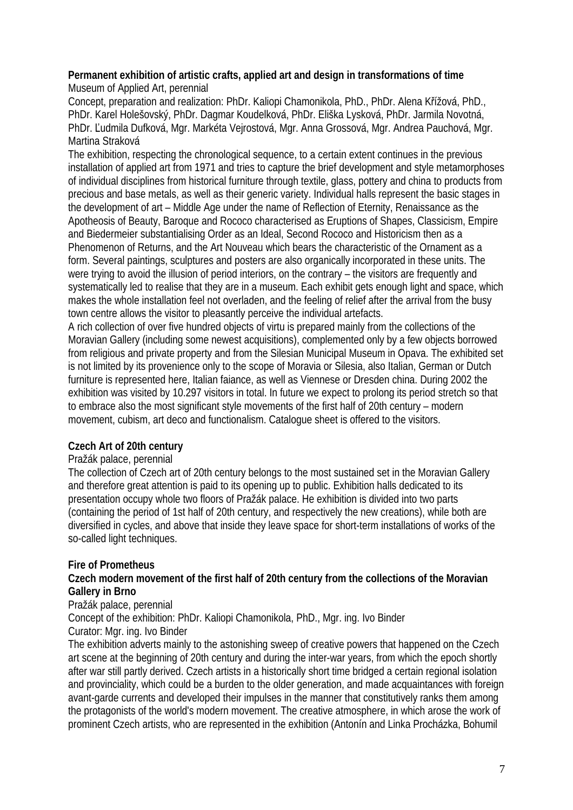# **Permanent exhibition of artistic crafts, applied art and design in transformations of time**

Museum of Applied Art, perennial

Concept, preparation and realization: PhDr. Kaliopi Chamonikola, PhD., PhDr. Alena Křížová, PhD., PhDr. Karel Holešovský, PhDr. Dagmar Koudelková, PhDr. Eliška Lysková, PhDr. Jarmila Novotná, PhDr. Ľudmila Dufková, Mgr. Markéta Vejrostová, Mgr. Anna Grossová, Mgr. Andrea Pauchová, Mgr. Martina Straková

The exhibition, respecting the chronological sequence, to a certain extent continues in the previous installation of applied art from 1971 and tries to capture the brief development and style metamorphoses of individual disciplines from historical furniture through textile, glass, pottery and china to products from precious and base metals, as well as their generic variety. Individual halls represent the basic stages in the development of art – Middle Age under the name of Reflection of Eternity, Renaissance as the Apotheosis of Beauty, Baroque and Rococo characterised as Eruptions of Shapes, Classicism, Empire and Biedermeier substantialising Order as an Ideal, Second Rococo and Historicism then as a Phenomenon of Returns, and the Art Nouveau which bears the characteristic of the Ornament as a form. Several paintings, sculptures and posters are also organically incorporated in these units. The were trying to avoid the illusion of period interiors, on the contrary – the visitors are frequently and systematically led to realise that they are in a museum. Each exhibit gets enough light and space, which makes the whole installation feel not overladen, and the feeling of relief after the arrival from the busy town centre allows the visitor to pleasantly perceive the individual artefacts.

A rich collection of over five hundred objects of virtu is prepared mainly from the collections of the Moravian Gallery (including some newest acquisitions), complemented only by a few objects borrowed from religious and private property and from the Silesian Municipal Museum in Opava. The exhibited set is not limited by its provenience only to the scope of Moravia or Silesia, also Italian, German or Dutch furniture is represented here, Italian faiance, as well as Viennese or Dresden china. During 2002 the exhibition was visited by 10.297 visitors in total. In future we expect to prolong its period stretch so that to embrace also the most significant style movements of the first half of 20th century – modern movement, cubism, art deco and functionalism. Catalogue sheet is offered to the visitors.

# **Czech Art of 20th century**

# Pražák palace, perennial

The collection of Czech art of 20th century belongs to the most sustained set in the Moravian Gallery and therefore great attention is paid to its opening up to public. Exhibition halls dedicated to its presentation occupy whole two floors of Pražák palace. He exhibition is divided into two parts (containing the period of 1st half of 20th century, and respectively the new creations), while both are diversified in cycles, and above that inside they leave space for short-term installations of works of the so-called light techniques.

# **Fire of Prometheus**

# **Czech modern movement of the first half of 20th century from the collections of the Moravian Gallery in Brno**

### Pražák palace, perennial

Concept of the exhibition: PhDr. Kaliopi Chamonikola, PhD., Mgr. ing. Ivo Binder

# Curator: Mgr. ing. Ivo Binder

The exhibition adverts mainly to the astonishing sweep of creative powers that happened on the Czech art scene at the beginning of 20th century and during the inter-war years, from which the epoch shortly after war still partly derived. Czech artists in a historically short time bridged a certain regional isolation and provinciality, which could be a burden to the older generation, and made acquaintances with foreign avant-garde currents and developed their impulses in the manner that constitutively ranks them among the protagonists of the world's modern movement. The creative atmosphere, in which arose the work of prominent Czech artists, who are represented in the exhibition (Antonín and Linka Procházka, Bohumil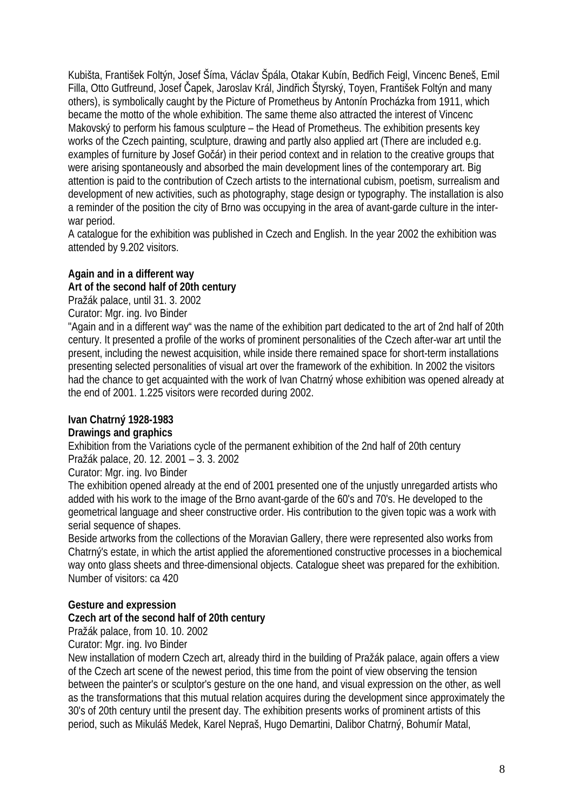Kubišta, František Foltýn, Josef Šíma, Václav Špála, Otakar Kubín, Bedřich Feigl, Vincenc Beneš, Emil Filla, Otto Gutfreund, Josef Čapek, Jaroslav Král, Jindřich Štyrský, Toyen, František Foltýn and many others), is symbolically caught by the Picture of Prometheus by Antonín Procházka from 1911, which became the motto of the whole exhibition. The same theme also attracted the interest of Vincenc Makovský to perform his famous sculpture – the Head of Prometheus. The exhibition presents key works of the Czech painting, sculpture, drawing and partly also applied art (There are included e.g. examples of furniture by Josef Gočár) in their period context and in relation to the creative groups that were arising spontaneously and absorbed the main development lines of the contemporary art. Big attention is paid to the contribution of Czech artists to the international cubism, poetism, surrealism and development of new activities, such as photography, stage design or typography. The installation is also a reminder of the position the city of Brno was occupying in the area of avant-garde culture in the interwar period.

A catalogue for the exhibition was published in Czech and English. In the year 2002 the exhibition was attended by 9.202 visitors.

# **Again and in a different way Art of the second half of 20th century**

Pražák palace, until 31. 3. 2002

Curator: Mgr. ing. Ivo Binder

"Again and in a different way" was the name of the exhibition part dedicated to the art of 2nd half of 20th century. It presented a profile of the works of prominent personalities of the Czech after-war art until the present, including the newest acquisition, while inside there remained space for short-term installations presenting selected personalities of visual art over the framework of the exhibition. In 2002 the visitors had the chance to get acquainted with the work of Ivan Chatrný whose exhibition was opened already at the end of 2001. 1.225 visitors were recorded during 2002.

# **Ivan Chatrný 1928-1983**

### **Drawings and graphics**

Exhibition from the Variations cycle of the permanent exhibition of the 2nd half of 20th century Pražák palace, 20. 12. 2001 – 3. 3. 2002

Curator: Mgr. ing. Ivo Binder

The exhibition opened already at the end of 2001 presented one of the unjustly unregarded artists who added with his work to the image of the Brno avant-garde of the 60's and 70's. He developed to the geometrical language and sheer constructive order. His contribution to the given topic was a work with serial sequence of shapes.

Beside artworks from the collections of the Moravian Gallery, there were represented also works from Chatrný's estate, in which the artist applied the aforementioned constructive processes in a biochemical way onto glass sheets and three-dimensional objects. Catalogue sheet was prepared for the exhibition. Number of visitors: ca 420

# **Gesture and expression**

# **Czech art of the second half of 20th century**

Pražák palace, from 10. 10. 2002

Curator: Mgr. ing. Ivo Binder

New installation of modern Czech art, already third in the building of Pražák palace, again offers a view of the Czech art scene of the newest period, this time from the point of view observing the tension between the painter's or sculptor's gesture on the one hand, and visual expression on the other, as well as the transformations that this mutual relation acquires during the development since approximately the 30's of 20th century until the present day. The exhibition presents works of prominent artists of this period, such as Mikuláš Medek, Karel Nepraš, Hugo Demartini, Dalibor Chatrný, Bohumír Matal,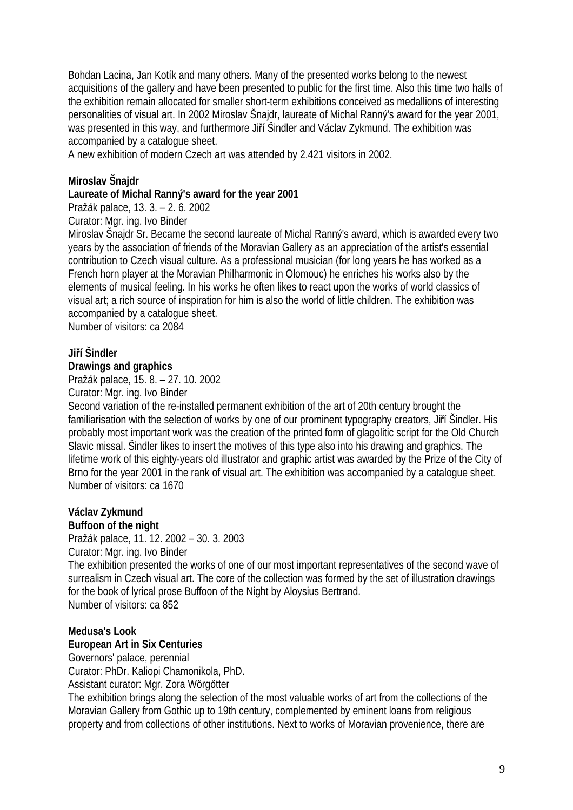Bohdan Lacina, Jan Kotík and many others. Many of the presented works belong to the newest acquisitions of the gallery and have been presented to public for the first time. Also this time two halls of the exhibition remain allocated for smaller short-term exhibitions conceived as medallions of interesting personalities of visual art. In 2002 Miroslav Šnajdr, laureate of Michal Ranný's award for the year 2001, was presented in this way, and furthermore Jiří Šindler and Václav Zykmund. The exhibition was accompanied by a catalogue sheet.

A new exhibition of modern Czech art was attended by 2.421 visitors in 2002.

### **Miroslav Šnajdr**

### **Laureate of Michal Ranný's award for the year 2001**

Pražák palace, 13. 3. – 2. 6. 2002

Curator: Mgr. ing. Ivo Binder

Miroslav Šnajdr Sr. Became the second laureate of Michal Ranný's award, which is awarded every two years by the association of friends of the Moravian Gallery as an appreciation of the artist's essential contribution to Czech visual culture. As a professional musician (for long years he has worked as a French horn player at the Moravian Philharmonic in Olomouc) he enriches his works also by the elements of musical feeling. In his works he often likes to react upon the works of world classics of visual art; a rich source of inspiration for him is also the world of little children. The exhibition was accompanied by a catalogue sheet.

Number of visitors: ca 2084

### **Jiří Šindler**

### **Drawings and graphics**

Pražák palace, 15. 8. – 27. 10. 2002

Curator: Mgr. ing. Ivo Binder

Second variation of the re-installed permanent exhibition of the art of 20th century brought the familiarisation with the selection of works by one of our prominent typography creators, Jiří Šindler. His probably most important work was the creation of the printed form of glagolitic script for the Old Church Slavic missal. Šindler likes to insert the motives of this type also into his drawing and graphics. The lifetime work of this eighty-years old illustrator and graphic artist was awarded by the Prize of the City of Brno for the year 2001 in the rank of visual art. The exhibition was accompanied by a catalogue sheet. Number of visitors: ca 1670

### **Václav Zykmund**

**Buffoon of the night** 

Pražák palace, 11. 12. 2002 – 30. 3. 2003 Curator: Mgr. ing. Ivo Binder

The exhibition presented the works of one of our most important representatives of the second wave of surrealism in Czech visual art. The core of the collection was formed by the set of illustration drawings for the book of lyrical prose Buffoon of the Night by Aloysius Bertrand. Number of visitors: ca 852

### **Medusa's Look**

#### **European Art in Six Centuries**

Governors' palace, perennial

Curator: PhDr. Kaliopi Chamonikola, PhD.

Assistant curator: Mgr. Zora Wörgötter

The exhibition brings along the selection of the most valuable works of art from the collections of the Moravian Gallery from Gothic up to 19th century, complemented by eminent loans from religious property and from collections of other institutions. Next to works of Moravian provenience, there are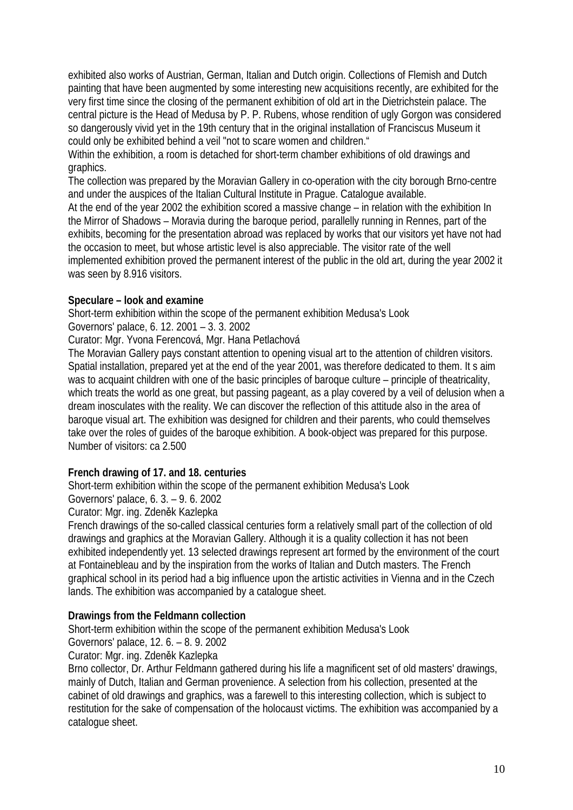exhibited also works of Austrian, German, Italian and Dutch origin. Collections of Flemish and Dutch painting that have been augmented by some interesting new acquisitions recently, are exhibited for the very first time since the closing of the permanent exhibition of old art in the Dietrichstein palace. The central picture is the Head of Medusa by P. P. Rubens, whose rendition of ugly Gorgon was considered so dangerously vivid yet in the 19th century that in the original installation of Franciscus Museum it could only be exhibited behind a veil "not to scare women and children."

Within the exhibition, a room is detached for short-term chamber exhibitions of old drawings and graphics.

The collection was prepared by the Moravian Gallery in co-operation with the city borough Brno-centre and under the auspices of the Italian Cultural Institute in Prague. Catalogue available.

At the end of the year 2002 the exhibition scored a massive change – in relation with the exhibition In the Mirror of Shadows – Moravia during the baroque period, parallelly running in Rennes, part of the exhibits, becoming for the presentation abroad was replaced by works that our visitors yet have not had the occasion to meet, but whose artistic level is also appreciable. The visitor rate of the well implemented exhibition proved the permanent interest of the public in the old art, during the year 2002 it was seen by 8.916 visitors.

# **Speculare – look and examine**

Short-term exhibition within the scope of the permanent exhibition Medusa's Look

Governors' palace, 6. 12. 2001 – 3. 3. 2002

Curator: Mgr. Yvona Ferencová, Mgr. Hana Petlachová

The Moravian Gallery pays constant attention to opening visual art to the attention of children visitors. Spatial installation, prepared yet at the end of the year 2001, was therefore dedicated to them. It s aim was to acquaint children with one of the basic principles of baroque culture – principle of theatricality, which treats the world as one great, but passing pageant, as a play covered by a veil of delusion when a dream inosculates with the reality. We can discover the reflection of this attitude also in the area of baroque visual art. The exhibition was designed for children and their parents, who could themselves take over the roles of guides of the baroque exhibition. A book-object was prepared for this purpose. Number of visitors: ca 2.500

# **French drawing of 17. and 18. centuries**

Short-term exhibition within the scope of the permanent exhibition Medusa's Look

Governors' palace, 6. 3. – 9. 6. 2002

Curator: Mgr. ing. Zdeněk Kazlepka

French drawings of the so-called classical centuries form a relatively small part of the collection of old drawings and graphics at the Moravian Gallery. Although it is a quality collection it has not been exhibited independently yet. 13 selected drawings represent art formed by the environment of the court at Fontainebleau and by the inspiration from the works of Italian and Dutch masters. The French graphical school in its period had a big influence upon the artistic activities in Vienna and in the Czech lands. The exhibition was accompanied by a catalogue sheet.

# **Drawings from the Feldmann collection**

Short-term exhibition within the scope of the permanent exhibition Medusa's Look

Governors' palace, 12. 6. – 8. 9. 2002

# Curator: Mgr. ing. Zdeněk Kazlepka

Brno collector, Dr. Arthur Feldmann gathered during his life a magnificent set of old masters' drawings, mainly of Dutch, Italian and German provenience. A selection from his collection, presented at the cabinet of old drawings and graphics, was a farewell to this interesting collection, which is subject to restitution for the sake of compensation of the holocaust victims. The exhibition was accompanied by a catalogue sheet.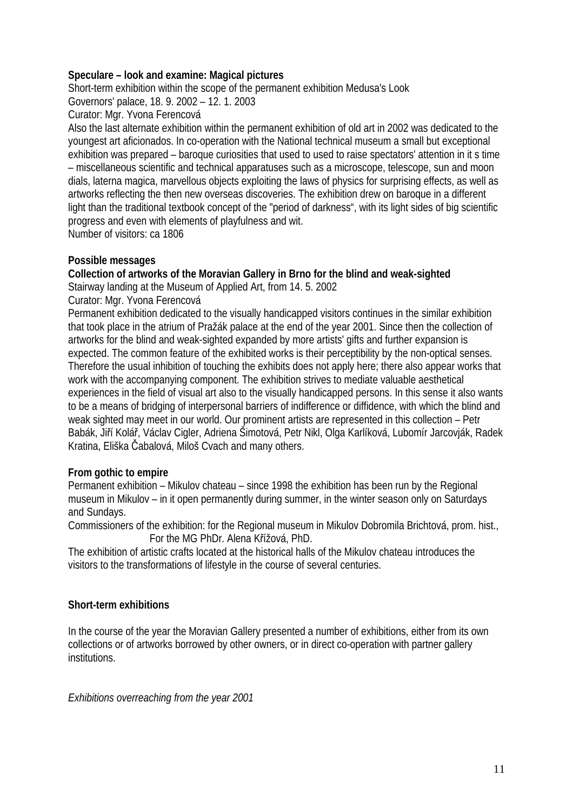### **Speculare – look and examine: Magical pictures**

Short-term exhibition within the scope of the permanent exhibition Medusa's Look

Governors' palace, 18. 9. 2002 – 12. 1. 2003

Curator: Mgr. Yvona Ferencová

Also the last alternate exhibition within the permanent exhibition of old art in 2002 was dedicated to the youngest art aficionados. In co-operation with the National technical museum a small but exceptional exhibition was prepared – baroque curiosities that used to used to raise spectators' attention in it s time – miscellaneous scientific and technical apparatuses such as a microscope, telescope, sun and moon dials, laterna magica, marvellous objects exploiting the laws of physics for surprising effects, as well as artworks reflecting the then new overseas discoveries. The exhibition drew on baroque in a different light than the traditional textbook concept of the "period of darkness", with its light sides of big scientific progress and even with elements of playfulness and wit.

Number of visitors: ca 1806

# **Possible messages**

# **Collection of artworks of the Moravian Gallery in Brno for the blind and weak-sighted**

Stairway landing at the Museum of Applied Art, from 14. 5. 2002

Curator: Mgr. Yvona Ferencová

Permanent exhibition dedicated to the visually handicapped visitors continues in the similar exhibition that took place in the atrium of Pražák palace at the end of the year 2001. Since then the collection of artworks for the blind and weak-sighted expanded by more artists' gifts and further expansion is expected. The common feature of the exhibited works is their perceptibility by the non-optical senses. Therefore the usual inhibition of touching the exhibits does not apply here; there also appear works that work with the accompanying component. The exhibition strives to mediate valuable aesthetical experiences in the field of visual art also to the visually handicapped persons. In this sense it also wants to be a means of bridging of interpersonal barriers of indifference or diffidence, with which the blind and weak sighted may meet in our world. Our prominent artists are represented in this collection – Petr Babák, Jiří Kolář, Václav Cigler, Adriena Šimotová, Petr Nikl, Olga Karlíková, Lubomír Jarcovják, Radek Kratina, Eliška Čabalová, Miloš Cvach and many others.

# **From gothic to empire**

Permanent exhibition – Mikulov chateau – since 1998 the exhibition has been run by the Regional museum in Mikulov – in it open permanently during summer, in the winter season only on Saturdays and Sundays.

Commissioners of the exhibition: for the Regional museum in Mikulov Dobromila Brichtová, prom. hist., For the MG PhDr. Alena Křížová, PhD.

The exhibition of artistic crafts located at the historical halls of the Mikulov chateau introduces the visitors to the transformations of lifestyle in the course of several centuries.

# **Short-term exhibitions**

In the course of the year the Moravian Gallery presented a number of exhibitions, either from its own collections or of artworks borrowed by other owners, or in direct co-operation with partner gallery institutions.

*Exhibitions overreaching from the year 2001*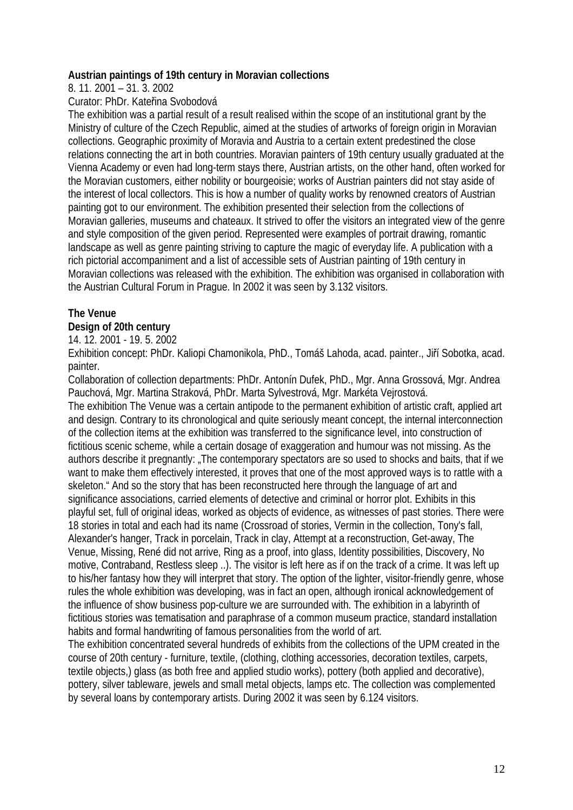### **Austrian paintings of 19th century in Moravian collections**

8. 11. 2001 – 31. 3. 2002

Curator: PhDr. Kateřina Svobodová

The exhibition was a partial result of a result realised within the scope of an institutional grant by the Ministry of culture of the Czech Republic, aimed at the studies of artworks of foreign origin in Moravian collections. Geographic proximity of Moravia and Austria to a certain extent predestined the close relations connecting the art in both countries. Moravian painters of 19th century usually graduated at the Vienna Academy or even had long-term stays there, Austrian artists, on the other hand, often worked for the Moravian customers, either nobility or bourgeoisie; works of Austrian painters did not stay aside of the interest of local collectors. This is how a number of quality works by renowned creators of Austrian painting got to our environment. The exhibition presented their selection from the collections of Moravian galleries, museums and chateaux. It strived to offer the visitors an integrated view of the genre and style composition of the given period. Represented were examples of portrait drawing, romantic landscape as well as genre painting striving to capture the magic of everyday life. A publication with a rich pictorial accompaniment and a list of accessible sets of Austrian painting of 19th century in Moravian collections was released with the exhibition. The exhibition was organised in collaboration with the Austrian Cultural Forum in Prague. In 2002 it was seen by 3.132 visitors.

# **The Venue**

# **Design of 20th century**

14. 12. 2001 - 19. 5. 2002

Exhibition concept: PhDr. Kaliopi Chamonikola, PhD., Tomáš Lahoda, acad. painter., Jiří Sobotka, acad. painter.

Collaboration of collection departments: PhDr. Antonín Dufek, PhD., Mgr. Anna Grossová, Mgr. Andrea Pauchová, Mgr. Martina Straková, PhDr. Marta Sylvestrová, Mgr. Markéta Vejrostová.

The exhibition The Venue was a certain antipode to the permanent exhibition of artistic craft, applied art and design. Contrary to its chronological and quite seriously meant concept, the internal interconnection of the collection items at the exhibition was transferred to the significance level, into construction of fictitious scenic scheme, while a certain dosage of exaggeration and humour was not missing. As the authors describe it pregnantly: "The contemporary spectators are so used to shocks and baits, that if we want to make them effectively interested, it proves that one of the most approved ways is to rattle with a skeleton." And so the story that has been reconstructed here through the language of art and significance associations, carried elements of detective and criminal or horror plot. Exhibits in this playful set, full of original ideas, worked as objects of evidence, as witnesses of past stories. There were 18 stories in total and each had its name (Crossroad of stories, Vermin in the collection, Tony's fall, Alexander's hanger, Track in porcelain, Track in clay, Attempt at a reconstruction, Get-away, The Venue, Missing, René did not arrive, Ring as a proof, into glass, Identity possibilities, Discovery, No motive, Contraband, Restless sleep ..). The visitor is left here as if on the track of a crime. It was left up to his/her fantasy how they will interpret that story. The option of the lighter, visitor-friendly genre, whose rules the whole exhibition was developing, was in fact an open, although ironical acknowledgement of the influence of show business pop-culture we are surrounded with. The exhibition in a labyrinth of fictitious stories was tematisation and paraphrase of a common museum practice, standard installation habits and formal handwriting of famous personalities from the world of art.

The exhibition concentrated several hundreds of exhibits from the collections of the UPM created in the course of 20th century - furniture, textile, (clothing, clothing accessories, decoration textiles, carpets, textile objects,) glass (as both free and applied studio works), pottery (both applied and decorative), pottery, silver tableware, jewels and small metal objects, lamps etc. The collection was complemented by several loans by contemporary artists. During 2002 it was seen by 6.124 visitors.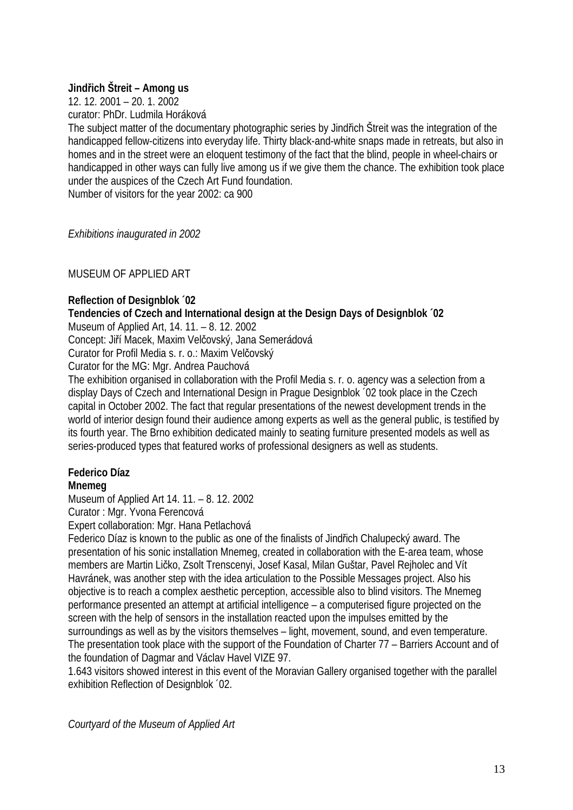# **Jindřich Štreit – Among us**

12. 12. 2001 – 20. 1. 2002 curator: PhDr. Ludmila Horáková

The subject matter of the documentary photographic series by Jindřich Štreit was the integration of the handicapped fellow-citizens into everyday life. Thirty black-and-white snaps made in retreats, but also in homes and in the street were an eloquent testimony of the fact that the blind, people in wheel-chairs or handicapped in other ways can fully live among us if we give them the chance. The exhibition took place under the auspices of the Czech Art Fund foundation.

Number of visitors for the year 2002: ca 900

*Exhibitions inaugurated in 2002* 

MUSEUM OF APPLIED ART

# **Reflection of Designblok ´02**

# **Tendencies of Czech and International design at the Design Days of Designblok ´02**

Museum of Applied Art, 14. 11. – 8. 12. 2002

Concept: Jiří Macek, Maxim Velčovský, Jana Semerádová

Curator for Profil Media s. r. o.: Maxim Velčovský

Curator for the MG: Mar. Andrea Pauchová

The exhibition organised in collaboration with the Profil Media s. r. o. agency was a selection from a display Days of Czech and International Design in Prague Designblok ´02 took place in the Czech capital in October 2002. The fact that regular presentations of the newest development trends in the world of interior design found their audience among experts as well as the general public, is testified by its fourth year. The Brno exhibition dedicated mainly to seating furniture presented models as well as series-produced types that featured works of professional designers as well as students.

# **Federico Díaz**

### **Mnemeg**

Museum of Applied Art 14. 11. – 8. 12. 2002

Curator : Mgr. Yvona Ferencová

Expert collaboration: Mgr. Hana Petlachová

Federico Díaz is known to the public as one of the finalists of Jindřich Chalupecký award. The presentation of his sonic installation Mnemeg, created in collaboration with the E-area team, whose members are Martin Ličko, Zsolt Trenscenyi, Josef Kasal, Milan Guštar, Pavel Rejholec and Vít Havránek, was another step with the idea articulation to the Possible Messages project. Also his objective is to reach a complex aesthetic perception, accessible also to blind visitors. The Mnemeg performance presented an attempt at artificial intelligence – a computerised figure projected on the screen with the help of sensors in the installation reacted upon the impulses emitted by the surroundings as well as by the visitors themselves – light, movement, sound, and even temperature. The presentation took place with the support of the Foundation of Charter 77 – Barriers Account and of the foundation of Dagmar and Václav Havel VIZE 97.

1.643 visitors showed interest in this event of the Moravian Gallery organised together with the parallel exhibition Reflection of Designblok ´02.

*Courtyard of the Museum of Applied Art*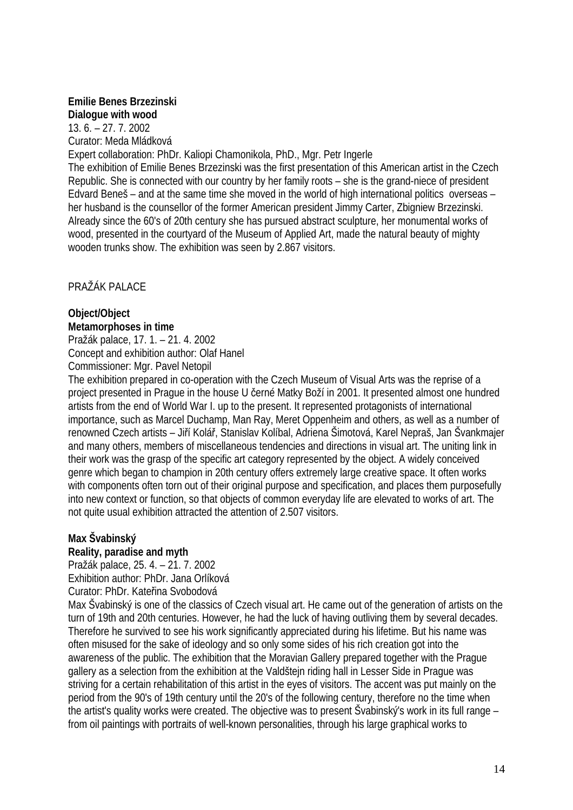# **Emilie Benes Brzezinski**

**Dialogue with wood**  13. 6. – 27. 7. 2002 Curator: Meda Mládková

Expert collaboration: PhDr. Kaliopi Chamonikola, PhD., Mgr. Petr Ingerle

The exhibition of Emilie Benes Brzezinski was the first presentation of this American artist in the Czech Republic. She is connected with our country by her family roots – she is the grand-niece of president Edvard Beneš – and at the same time she moved in the world of high international politics overseas – her husband is the counsellor of the former American president Jimmy Carter, Zbigniew Brzezinski. Already since the 60's of 20th century she has pursued abstract sculpture, her monumental works of wood, presented in the courtyard of the Museum of Applied Art, made the natural beauty of mighty wooden trunks show. The exhibition was seen by 2.867 visitors.

PRAŽÁK PALACE

# **Object/Object**

**Metamorphoses in time**  Pražák palace, 17. 1. – 21. 4. 2002 Concept and exhibition author: Olaf Hanel Commissioner: Mgr. Pavel Netopil

The exhibition prepared in co-operation with the Czech Museum of Visual Arts was the reprise of a project presented in Prague in the house U černé Matky Boží in 2001. It presented almost one hundred artists from the end of World War I. up to the present. It represented protagonists of international importance, such as Marcel Duchamp, Man Ray, Meret Oppenheim and others, as well as a number of renowned Czech artists – Jiří Kolář, Stanislav Kolíbal, Adriena Šimotová, Karel Nepraš, Jan Švankmajer and many others, members of miscellaneous tendencies and directions in visual art. The uniting link in their work was the grasp of the specific art category represented by the object. A widely conceived genre which began to champion in 20th century offers extremely large creative space. It often works with components often torn out of their original purpose and specification, and places them purposefully into new context or function, so that objects of common everyday life are elevated to works of art. The not quite usual exhibition attracted the attention of 2.507 visitors.

# **Max Švabinský**

### **Reality, paradise and myth**

Pražák palace, 25. 4. – 21. 7. 2002

Exhibition author: PhDr. Jana Orlíková

Curator: PhDr. Kateřina Svobodová

Max Švabinský is one of the classics of Czech visual art. He came out of the generation of artists on the turn of 19th and 20th centuries. However, he had the luck of having outliving them by several decades. Therefore he survived to see his work significantly appreciated during his lifetime. But his name was often misused for the sake of ideology and so only some sides of his rich creation got into the awareness of the public. The exhibition that the Moravian Gallery prepared together with the Prague gallery as a selection from the exhibition at the Valdštejn riding hall in Lesser Side in Prague was striving for a certain rehabilitation of this artist in the eyes of visitors. The accent was put mainly on the period from the 90's of 19th century until the 20's of the following century, therefore no the time when the artist's quality works were created. The objective was to present Švabinský's work in its full range – from oil paintings with portraits of well-known personalities, through his large graphical works to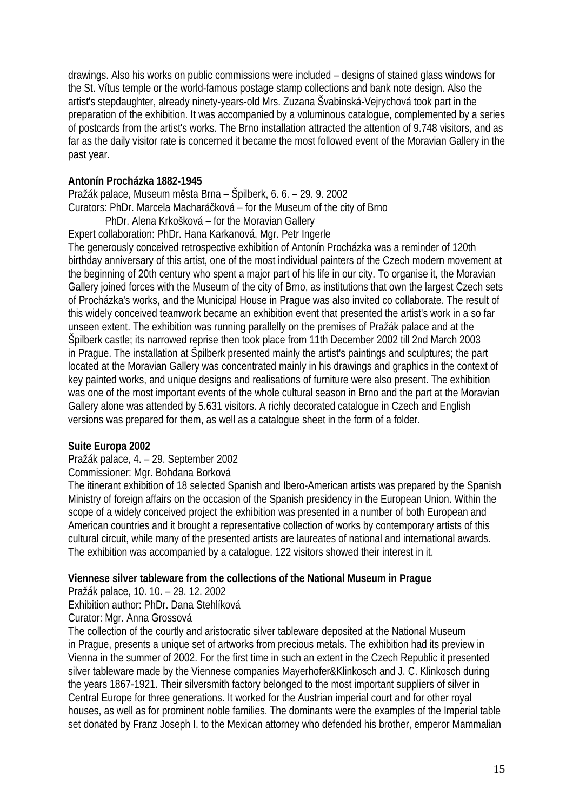drawings. Also his works on public commissions were included – designs of stained glass windows for the St. Vítus temple or the world-famous postage stamp collections and bank note design. Also the artist's stepdaughter, already ninety-years-old Mrs. Zuzana Švabinská-Vejrychová took part in the preparation of the exhibition. It was accompanied by a voluminous catalogue, complemented by a series of postcards from the artist's works. The Brno installation attracted the attention of 9.748 visitors, and as far as the daily visitor rate is concerned it became the most followed event of the Moravian Gallery in the past year.

# **Antonín Procházka 1882-1945**

Pražák palace, Museum města Brna – Špilberk, 6. 6. – 29. 9. 2002 Curators: PhDr. Marcela Macharáčková – for the Museum of the city of Brno

PhDr. Alena Krkošková – for the Moravian Gallery

Expert collaboration: PhDr. Hana Karkanová, Mgr. Petr Ingerle

The generously conceived retrospective exhibition of Antonín Procházka was a reminder of 120th birthday anniversary of this artist, one of the most individual painters of the Czech modern movement at the beginning of 20th century who spent a major part of his life in our city. To organise it, the Moravian Gallery joined forces with the Museum of the city of Brno, as institutions that own the largest Czech sets of Procházka's works, and the Municipal House in Prague was also invited co collaborate. The result of this widely conceived teamwork became an exhibition event that presented the artist's work in a so far unseen extent. The exhibition was running parallelly on the premises of Pražák palace and at the Špilberk castle; its narrowed reprise then took place from 11th December 2002 till 2nd March 2003 in Prague. The installation at Špilberk presented mainly the artist's paintings and sculptures; the part located at the Moravian Gallery was concentrated mainly in his drawings and graphics in the context of key painted works, and unique designs and realisations of furniture were also present. The exhibition was one of the most important events of the whole cultural season in Brno and the part at the Moravian Gallery alone was attended by 5.631 visitors. A richly decorated catalogue in Czech and English versions was prepared for them, as well as a catalogue sheet in the form of a folder.

### **Suite Europa 2002**

### Pražák palace, 4. – 29. September 2002

Commissioner: Mgr. Bohdana Borková

The itinerant exhibition of 18 selected Spanish and Ibero-American artists was prepared by the Spanish Ministry of foreign affairs on the occasion of the Spanish presidency in the European Union. Within the scope of a widely conceived project the exhibition was presented in a number of both European and American countries and it brought a representative collection of works by contemporary artists of this cultural circuit, while many of the presented artists are laureates of national and international awards. The exhibition was accompanied by a catalogue. 122 visitors showed their interest in it.

### **Viennese silver tableware from the collections of the National Museum in Prague**

Pražák palace, 10. 10. – 29. 12. 2002

Exhibition author: PhDr. Dana Stehlíková

Curator: Mgr. Anna Grossová

The collection of the courtly and aristocratic silver tableware deposited at the National Museum in Prague, presents a unique set of artworks from precious metals. The exhibition had its preview in Vienna in the summer of 2002. For the first time in such an extent in the Czech Republic it presented silver tableware made by the Viennese companies Mayerhofer&Klinkosch and J. C. Klinkosch during the years 1867-1921. Their silversmith factory belonged to the most important suppliers of silver in Central Europe for three generations. It worked for the Austrian imperial court and for other royal houses, as well as for prominent noble families. The dominants were the examples of the Imperial table set donated by Franz Joseph I. to the Mexican attorney who defended his brother, emperor Mammalian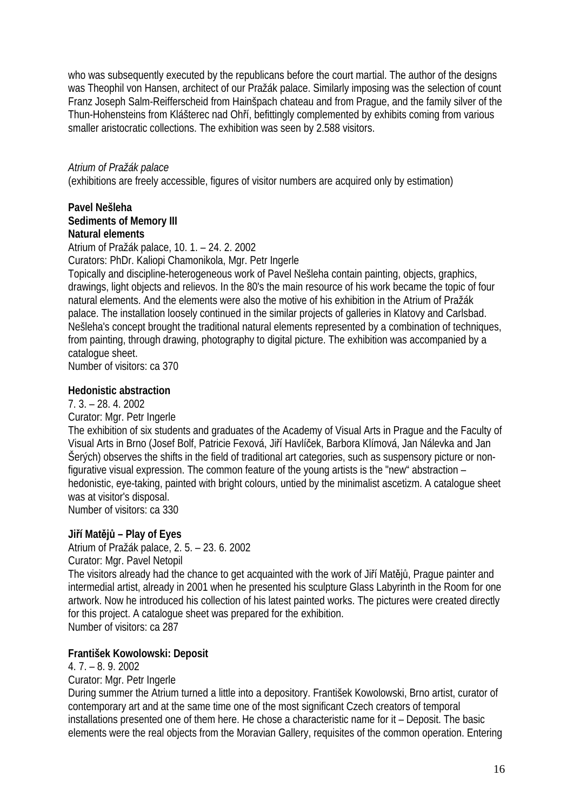who was subsequently executed by the republicans before the court martial. The author of the designs was Theophil von Hansen, architect of our Pražák palace. Similarly imposing was the selection of count Franz Joseph Salm-Reifferscheid from Hainšpach chateau and from Prague, and the family silver of the Thun-Hohensteins from Klášterec nad Ohří, befittingly complemented by exhibits coming from various smaller aristocratic collections. The exhibition was seen by 2.588 visitors.

### *Atrium of Pražák palace*

(exhibitions are freely accessible, figures of visitor numbers are acquired only by estimation)

### **Pavel Nešleha Sediments of Memory III Natural elements**

Atrium of Pražák palace, 10. 1. – 24. 2. 2002

Curators: PhDr. Kaliopi Chamonikola, Mgr. Petr Ingerle

Topically and discipline-heterogeneous work of Pavel Nešleha contain painting, objects, graphics, drawings, light objects and relievos. In the 80's the main resource of his work became the topic of four natural elements. And the elements were also the motive of his exhibition in the Atrium of Pražák palace. The installation loosely continued in the similar projects of galleries in Klatovy and Carlsbad. Nešleha's concept brought the traditional natural elements represented by a combination of techniques, from painting, through drawing, photography to digital picture. The exhibition was accompanied by a catalogue sheet.

Number of visitors: ca 370

#### **Hedonistic abstraction**

7. 3. – 28. 4. 2002

Curator: Mgr. Petr Ingerle

The exhibition of six students and graduates of the Academy of Visual Arts in Prague and the Faculty of Visual Arts in Brno (Josef Bolf, Patricie Fexová, Jiří Havlíček, Barbora Klímová, Jan Nálevka and Jan Šerých) observes the shifts in the field of traditional art categories, such as suspensory picture or nonfigurative visual expression. The common feature of the young artists is the "new" abstraction – hedonistic, eye-taking, painted with bright colours, untied by the minimalist ascetizm. A catalogue sheet was at visitor's disposal.

Number of visitors: ca 330

### **Jiří Matějů – Play of Eyes**

Atrium of Pražák palace, 2. 5. – 23. 6. 2002

Curator: Mgr. Pavel Netopil

The visitors already had the chance to get acquainted with the work of Jiří Matějů, Prague painter and intermedial artist, already in 2001 when he presented his sculpture Glass Labyrinth in the Room for one artwork. Now he introduced his collection of his latest painted works. The pictures were created directly for this project. A catalogue sheet was prepared for the exhibition. Number of visitors: ca 287

### **František Kowolowski: Deposit**

4. 7. – 8. 9. 2002

Curator: Mgr. Petr Ingerle

During summer the Atrium turned a little into a depository. František Kowolowski, Brno artist, curator of contemporary art and at the same time one of the most significant Czech creators of temporal installations presented one of them here. He chose a characteristic name for it – Deposit. The basic elements were the real objects from the Moravian Gallery, requisites of the common operation. Entering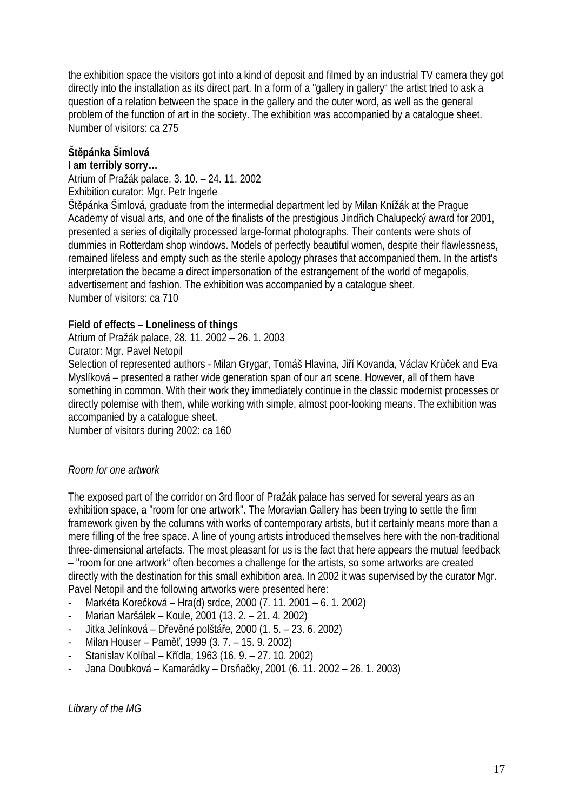the exhibition space the visitors got into a kind of deposit and filmed by an industrial TV camera they got directly into the installation as its direct part. In a form of a "gallery in gallery" the artist tried to ask a question of a relation between the space in the gallery and the outer word, as well as the general problem of the function of art in the society. The exhibition was accompanied by a catalogue sheet. Number of visitors: ca 275

# **Štěpánka Šimlová**

### **I am terribly sorry…**

Atrium of Pražák palace, 3. 10. – 24. 11. 2002

Exhibition curator: Mgr. Petr Ingerle

Štěpánka Šimlová, graduate from the intermedial department led by Milan Knížák at the Prague Academy of visual arts, and one of the finalists of the prestigious Jindřich Chalupecký award for 2001, presented a series of digitally processed large-format photographs. Their contents were shots of dummies in Rotterdam shop windows. Models of perfectly beautiful women, despite their flawlessness, remained lifeless and empty such as the sterile apology phrases that accompanied them. In the artist's interpretation the became a direct impersonation of the estrangement of the world of megapolis, advertisement and fashion. The exhibition was accompanied by a catalogue sheet. Number of visitors: ca 710

### **Field of effects – Loneliness of things**

Atrium of Pražák palace, 28. 11. 2002 – 26. 1. 2003

Curator: Mgr. Pavel Netopil

Selection of represented authors - Milan Grygar, Tomáš Hlavina, Jiří Kovanda, Václav Krůček and Eva Myslíková – presented a rather wide generation span of our art scene. However, all of them have something in common. With their work they immediately continue in the classic modernist processes or directly polemise with them, while working with simple, almost poor-looking means. The exhibition was accompanied by a catalogue sheet.

Number of visitors during 2002: ca 160

### *Room for one artwork*

The exposed part of the corridor on 3rd floor of Pražák palace has served for several years as an exhibition space, a "room for one artwork". The Moravian Gallery has been trying to settle the firm framework given by the columns with works of contemporary artists, but it certainly means more than a mere filling of the free space. A line of young artists introduced themselves here with the non-traditional three-dimensional artefacts. The most pleasant for us is the fact that here appears the mutual feedback – "room for one artwork" often becomes a challenge for the artists, so some artworks are created directly with the destination for this small exhibition area. In 2002 it was supervised by the curator Mgr. Pavel Netopil and the following artworks were presented here:

- Markéta Korečková Hra(d) srdce, 2000 (7. 11. 2001 6. 1. 2002)
- Marian Maršálek Koule, 2001 (13. 2. 21. 4. 2002)
- Jitka Jelínková Dřevěné polštáře, 2000 (1. 5. 23. 6. 2002)
- Milan Houser Paměť, 1999 (3. 7. 15. 9. 2002)
- Stanislav Kolíbal Křídla, 1963 (16. 9. 27. 10. 2002)
- Jana Doubková Kamarádky Drsňačky, 2001 (6. 11. 2002 26. 1. 2003)

*Library of the MG*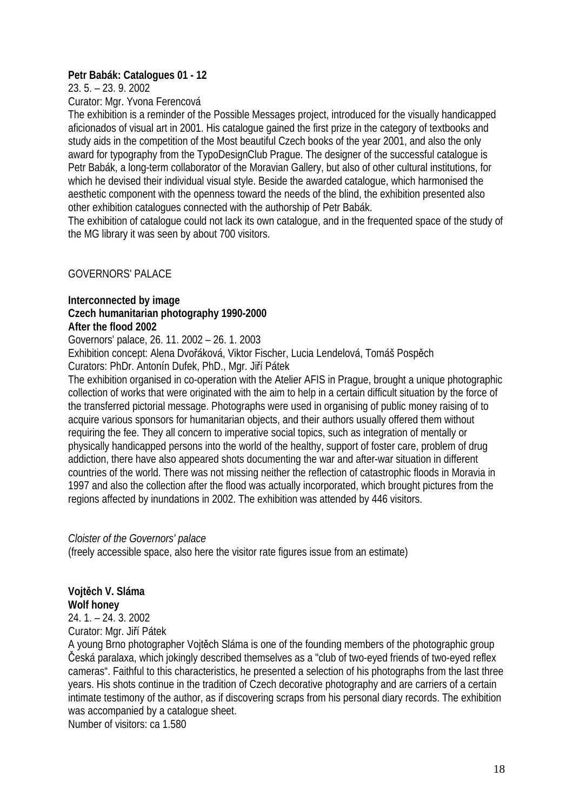### **Petr Babák: Catalogues 01 - 12**

23. 5. – 23. 9. 2002

Curator: Mgr. Yvona Ferencová

The exhibition is a reminder of the Possible Messages project, introduced for the visually handicapped aficionados of visual art in 2001. His catalogue gained the first prize in the category of textbooks and study aids in the competition of the Most beautiful Czech books of the year 2001, and also the only award for typography from the TypoDesignClub Prague. The designer of the successful catalogue is Petr Babák, a long-term collaborator of the Moravian Gallery, but also of other cultural institutions, for which he devised their individual visual style. Beside the awarded catalogue, which harmonised the aesthetic component with the openness toward the needs of the blind, the exhibition presented also other exhibition catalogues connected with the authorship of Petr Babák.

The exhibition of catalogue could not lack its own catalogue, and in the frequented space of the study of the MG library it was seen by about 700 visitors.

GOVERNORS' PALACE

### **Interconnected by image**

#### **Czech humanitarian photography 1990-2000 After the flood 2002**

Governors' palace, 26. 11. 2002 – 26. 1. 2003

Exhibition concept: Alena Dvořáková, Viktor Fischer, Lucia Lendelová, Tomáš Pospěch Curators: PhDr. Antonín Dufek, PhD., Mgr. Jiří Pátek

The exhibition organised in co-operation with the Atelier AFIS in Prague, brought a unique photographic collection of works that were originated with the aim to help in a certain difficult situation by the force of the transferred pictorial message. Photographs were used in organising of public money raising of to acquire various sponsors for humanitarian objects, and their authors usually offered them without requiring the fee. They all concern to imperative social topics, such as integration of mentally or physically handicapped persons into the world of the healthy, support of foster care, problem of drug addiction, there have also appeared shots documenting the war and after-war situation in different countries of the world. There was not missing neither the reflection of catastrophic floods in Moravia in 1997 and also the collection after the flood was actually incorporated, which brought pictures from the regions affected by inundations in 2002. The exhibition was attended by 446 visitors.

### *Cloister of the Governors' palace*

(freely accessible space, also here the visitor rate figures issue from an estimate)

# **Vojtěch V. Sláma Wolf honey**

24. 1. – 24. 3. 2002 Curator: Mgr. Jiří Pátek

A young Brno photographer Vojtěch Sláma is one of the founding members of the photographic group Česká paralaxa, which jokingly described themselves as a "club of two-eyed friends of two-eyed reflex cameras". Faithful to this characteristics, he presented a selection of his photographs from the last three years. His shots continue in the tradition of Czech decorative photography and are carriers of a certain intimate testimony of the author, as if discovering scraps from his personal diary records. The exhibition was accompanied by a catalogue sheet.

Number of visitors: ca 1.580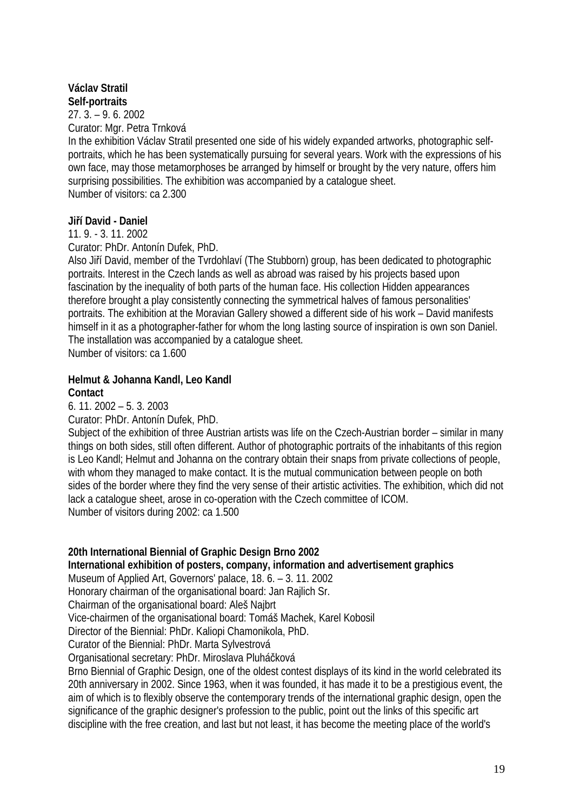# **Václav Stratil Self-portraits**

27. 3. – 9. 6. 2002 Curator: Mgr. Petra Trnková

In the exhibition Václav Stratil presented one side of his widely expanded artworks, photographic selfportraits, which he has been systematically pursuing for several years. Work with the expressions of his own face, may those metamorphoses be arranged by himself or brought by the very nature, offers him surprising possibilities. The exhibition was accompanied by a catalogue sheet. Number of visitors: ca 2.300

# **Jiří David - Daniel**

11. 9. - 3. 11. 2002

Curator: PhDr. Antonín Dufek, PhD.

Also Jiří David, member of the Tvrdohlaví (The Stubborn) group, has been dedicated to photographic portraits. Interest in the Czech lands as well as abroad was raised by his projects based upon fascination by the inequality of both parts of the human face. His collection Hidden appearances therefore brought a play consistently connecting the symmetrical halves of famous personalities' portraits. The exhibition at the Moravian Gallery showed a different side of his work – David manifests himself in it as a photographer-father for whom the long lasting source of inspiration is own son Daniel. The installation was accompanied by a catalogue sheet.

Number of visitors: ca 1.600

### **Helmut & Johanna Kandl, Leo Kandl Contact**

6. 11. 2002 – 5. 3. 2003

Curator: PhDr. Antonín Dufek, PhD.

Subject of the exhibition of three Austrian artists was life on the Czech-Austrian border – similar in many things on both sides, still often different. Author of photographic portraits of the inhabitants of this region is Leo Kandl; Helmut and Johanna on the contrary obtain their snaps from private collections of people, with whom they managed to make contact. It is the mutual communication between people on both sides of the border where they find the very sense of their artistic activities. The exhibition, which did not lack a catalogue sheet, arose in co-operation with the Czech committee of ICOM. Number of visitors during 2002: ca 1.500

### **20th International Biennial of Graphic Design Brno 2002**

**International exhibition of posters, company, information and advertisement graphics** 

Museum of Applied Art, Governors' palace, 18. 6. – 3. 11. 2002

Honorary chairman of the organisational board: Jan Rajlich Sr.

Chairman of the organisational board: Aleš Najbrt

Vice-chairmen of the organisational board: Tomáš Machek, Karel Kobosil

Director of the Biennial: PhDr. Kaliopi Chamonikola, PhD.

Curator of the Biennial: PhDr. Marta Sylvestrová

Organisational secretary: PhDr. Miroslava Pluháčková

Brno Biennial of Graphic Design, one of the oldest contest displays of its kind in the world celebrated its 20th anniversary in 2002. Since 1963, when it was founded, it has made it to be a prestigious event, the aim of which is to flexibly observe the contemporary trends of the international graphic design, open the significance of the graphic designer's profession to the public, point out the links of this specific art discipline with the free creation, and last but not least, it has become the meeting place of the world's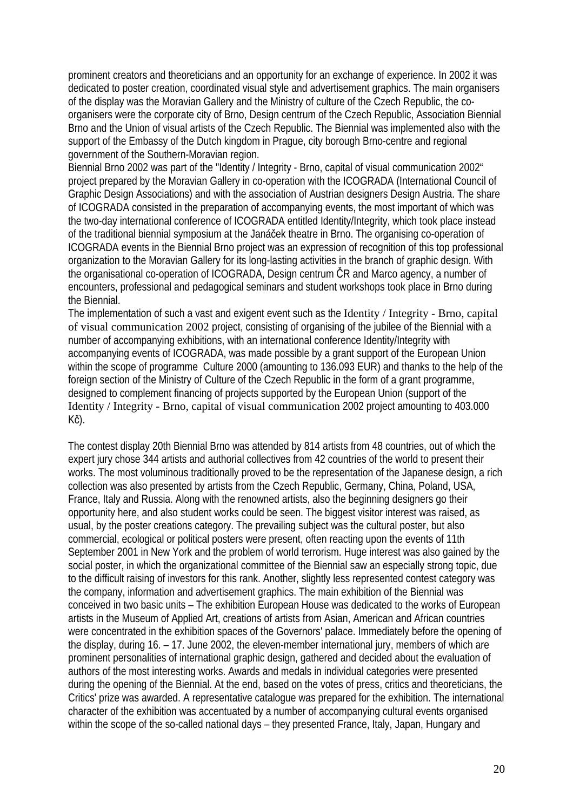prominent creators and theoreticians and an opportunity for an exchange of experience. In 2002 it was dedicated to poster creation, coordinated visual style and advertisement graphics. The main organisers of the display was the Moravian Gallery and the Ministry of culture of the Czech Republic, the coorganisers were the corporate city of Brno, Design centrum of the Czech Republic, Association Biennial Brno and the Union of visual artists of the Czech Republic. The Biennial was implemented also with the support of the Embassy of the Dutch kingdom in Prague, city borough Brno-centre and regional government of the Southern-Moravian region.

Biennial Brno 2002 was part of the "Identity / Integrity - Brno, capital of visual communication 2002" project prepared by the Moravian Gallery in co-operation with the ICOGRADA (International Council of Graphic Design Associations) and with the association of Austrian designers Design Austria. The share of ICOGRADA consisted in the preparation of accompanying events, the most important of which was the two-day international conference of ICOGRADA entitled Identity/Integrity, which took place instead of the traditional biennial symposium at the Janáček theatre in Brno. The organising co-operation of ICOGRADA events in the Biennial Brno project was an expression of recognition of this top professional organization to the Moravian Gallery for its long-lasting activities in the branch of graphic design. With the organisational co-operation of ICOGRADA, Design centrum ČR and Marco agency, a number of encounters, professional and pedagogical seminars and student workshops took place in Brno during the Biennial.

The implementation of such a vast and exigent event such as the Identity / Integrity - Brno, capital of visual communication 2002 project, consisting of organising of the jubilee of the Biennial with a number of accompanying exhibitions, with an international conference Identity/Integrity with accompanying events of ICOGRADA, was made possible by a grant support of the European Union within the scope of programme Culture 2000 (amounting to 136.093 EUR) and thanks to the help of the foreign section of the Ministry of Culture of the Czech Republic in the form of a grant programme, designed to complement financing of projects supported by the European Union (support of the Identity / Integrity - Brno, capital of visual communication 2002 project amounting to 403.000 Kč).

The contest display 20th Biennial Brno was attended by 814 artists from 48 countries, out of which the expert jury chose 344 artists and authorial collectives from 42 countries of the world to present their works. The most voluminous traditionally proved to be the representation of the Japanese design, a rich collection was also presented by artists from the Czech Republic, Germany, China, Poland, USA, France, Italy and Russia. Along with the renowned artists, also the beginning designers go their opportunity here, and also student works could be seen. The biggest visitor interest was raised, as usual, by the poster creations category. The prevailing subject was the cultural poster, but also commercial, ecological or political posters were present, often reacting upon the events of 11th September 2001 in New York and the problem of world terrorism. Huge interest was also gained by the social poster, in which the organizational committee of the Biennial saw an especially strong topic, due to the difficult raising of investors for this rank. Another, slightly less represented contest category was the company, information and advertisement graphics. The main exhibition of the Biennial was conceived in two basic units – The exhibition European House was dedicated to the works of European artists in the Museum of Applied Art, creations of artists from Asian, American and African countries were concentrated in the exhibition spaces of the Governors' palace. Immediately before the opening of the display, during 16. – 17. June 2002, the eleven-member international jury, members of which are prominent personalities of international graphic design, gathered and decided about the evaluation of authors of the most interesting works. Awards and medals in individual categories were presented during the opening of the Biennial. At the end, based on the votes of press, critics and theoreticians, the Critics' prize was awarded. A representative catalogue was prepared for the exhibition. The international character of the exhibition was accentuated by a number of accompanying cultural events organised within the scope of the so-called national days – they presented France, Italy, Japan, Hungary and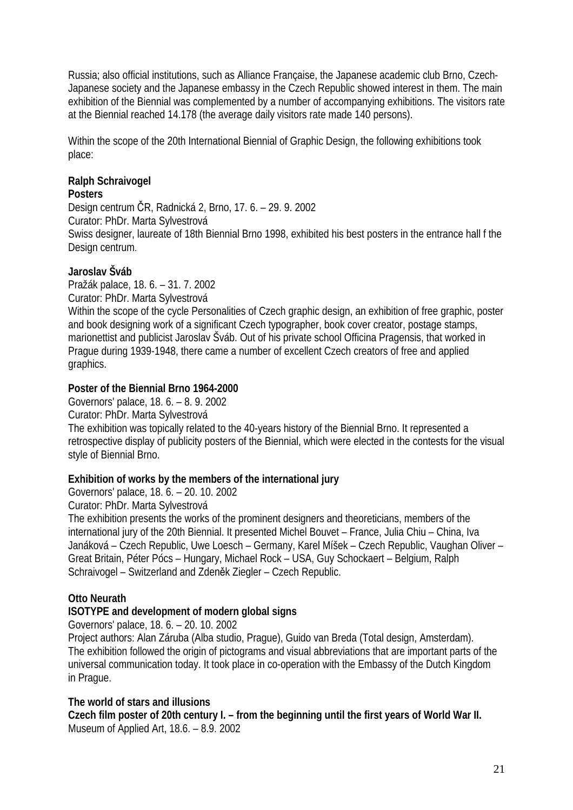Russia; also official institutions, such as Alliance Française, the Japanese academic club Brno, Czech-Japanese society and the Japanese embassy in the Czech Republic showed interest in them. The main exhibition of the Biennial was complemented by a number of accompanying exhibitions. The visitors rate at the Biennial reached 14.178 (the average daily visitors rate made 140 persons).

Within the scope of the 20th International Biennial of Graphic Design, the following exhibitions took place:

# **Ralph Schraivogel**

**Posters** 

Design centrum ČR, Radnická 2, Brno, 17. 6. – 29. 9. 2002

Curator: PhDr. Marta Sylvestrová

Swiss designer, laureate of 18th Biennial Brno 1998, exhibited his best posters in the entrance hall f the Design centrum.

# **Jaroslav Šváb**

Pražák palace, 18. 6. – 31. 7. 2002 Curator: PhDr. Marta Sylvestrová

Within the scope of the cycle Personalities of Czech graphic design, an exhibition of free graphic, poster and book designing work of a significant Czech typographer, book cover creator, postage stamps, marionettist and publicist Jaroslav Šváb. Out of his private school Officina Pragensis, that worked in Prague during 1939-1948, there came a number of excellent Czech creators of free and applied graphics.

# **Poster of the Biennial Brno 1964-2000**

Governors' palace, 18. 6. – 8. 9. 2002 Curator: PhDr. Marta Sylvestrová The exhibition was topically related to the 40-years history of the Biennial Brno. It represented a retrospective display of publicity posters of the Biennial, which were elected in the contests for the visual style of Biennial Brno.

# **Exhibition of works by the members of the international jury**

Governors' palace, 18. 6. – 20. 10. 2002

Curator: PhDr. Marta Sylvestrová

The exhibition presents the works of the prominent designers and theoreticians, members of the international jury of the 20th Biennial. It presented Michel Bouvet – France, Julia Chiu – China, Iva Janáková – Czech Republic, Uwe Loesch – Germany, Karel Míšek – Czech Republic, Vaughan Oliver – Great Britain, Péter Pócs – Hungary, Michael Rock – USA, Guy Schockaert – Belgium, Ralph Schraivogel – Switzerland and Zdeněk Ziegler – Czech Republic.

# **Otto Neurath**

# **ISOTYPE and development of modern global signs**

Governors' palace, 18. 6. – 20. 10. 2002

Project authors: Alan Záruba (Alba studio, Prague), Guido van Breda (Total design, Amsterdam). The exhibition followed the origin of pictograms and visual abbreviations that are important parts of the universal communication today. It took place in co-operation with the Embassy of the Dutch Kingdom in Prague.

# **The world of stars and illusions**

**Czech film poster of 20th century I. – from the beginning until the first years of World War II.**  Museum of Applied Art, 18.6. – 8.9. 2002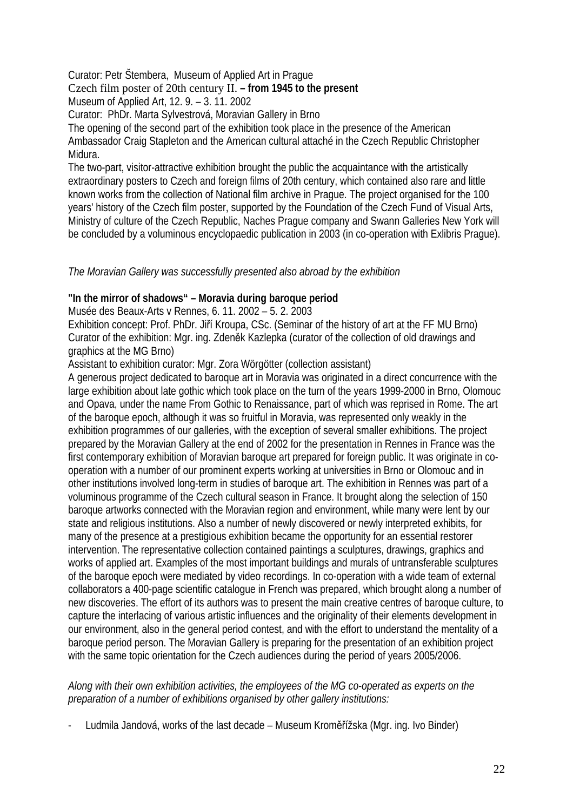Curator: Petr Štembera, Museum of Applied Art in Prague

# Czech film poster of 20th century II. **– from 1945 to the present**

Museum of Applied Art, 12. 9. – 3. 11. 2002

Curator: PhDr. Marta Sylvestrová, Moravian Gallery in Brno

The opening of the second part of the exhibition took place in the presence of the American Ambassador Craig Stapleton and the American cultural attaché in the Czech Republic Christopher Midura.

The two-part, visitor-attractive exhibition brought the public the acquaintance with the artistically extraordinary posters to Czech and foreign films of 20th century, which contained also rare and little known works from the collection of National film archive in Prague. The project organised for the 100 years' history of the Czech film poster, supported by the Foundation of the Czech Fund of Visual Arts, Ministry of culture of the Czech Republic, Naches Prague company and Swann Galleries New York will be concluded by a voluminous encyclopaedic publication in 2003 (in co-operation with Exlibris Prague).

# *The Moravian Gallery was successfully presented also abroad by the exhibition*

# **"In the mirror of shadows" – Moravia during baroque period**

Musée des Beaux-Arts v Rennes, 6. 11. 2002 – 5. 2. 2003

Exhibition concept: Prof. PhDr. Jiří Kroupa, CSc. (Seminar of the history of art at the FF MU Brno) Curator of the exhibition: Mgr. ing. Zdeněk Kazlepka (curator of the collection of old drawings and graphics at the MG Brno)

Assistant to exhibition curator: Mgr. Zora Wörgötter (collection assistant)

A generous project dedicated to baroque art in Moravia was originated in a direct concurrence with the large exhibition about late gothic which took place on the turn of the years 1999-2000 in Brno, Olomouc and Opava, under the name From Gothic to Renaissance, part of which was reprised in Rome. The art of the baroque epoch, although it was so fruitful in Moravia, was represented only weakly in the exhibition programmes of our galleries, with the exception of several smaller exhibitions. The project prepared by the Moravian Gallery at the end of 2002 for the presentation in Rennes in France was the first contemporary exhibition of Moravian baroque art prepared for foreign public. It was originate in cooperation with a number of our prominent experts working at universities in Brno or Olomouc and in other institutions involved long-term in studies of baroque art. The exhibition in Rennes was part of a voluminous programme of the Czech cultural season in France. It brought along the selection of 150 baroque artworks connected with the Moravian region and environment, while many were lent by our state and religious institutions. Also a number of newly discovered or newly interpreted exhibits, for many of the presence at a prestigious exhibition became the opportunity for an essential restorer intervention. The representative collection contained paintings a sculptures, drawings, graphics and works of applied art. Examples of the most important buildings and murals of untransferable sculptures of the baroque epoch were mediated by video recordings. In co-operation with a wide team of external collaborators a 400-page scientific catalogue in French was prepared, which brought along a number of new discoveries. The effort of its authors was to present the main creative centres of baroque culture, to capture the interlacing of various artistic influences and the originality of their elements development in our environment, also in the general period contest, and with the effort to understand the mentality of a baroque period person. The Moravian Gallery is preparing for the presentation of an exhibition project with the same topic orientation for the Czech audiences during the period of years 2005/2006.

# *Along with their own exhibition activities, the employees of the MG co-operated as experts on the preparation of a number of exhibitions organised by other gallery institutions:*

- Ludmila Jandová, works of the last decade – Museum Kroměřížska (Mgr. ing. Ivo Binder)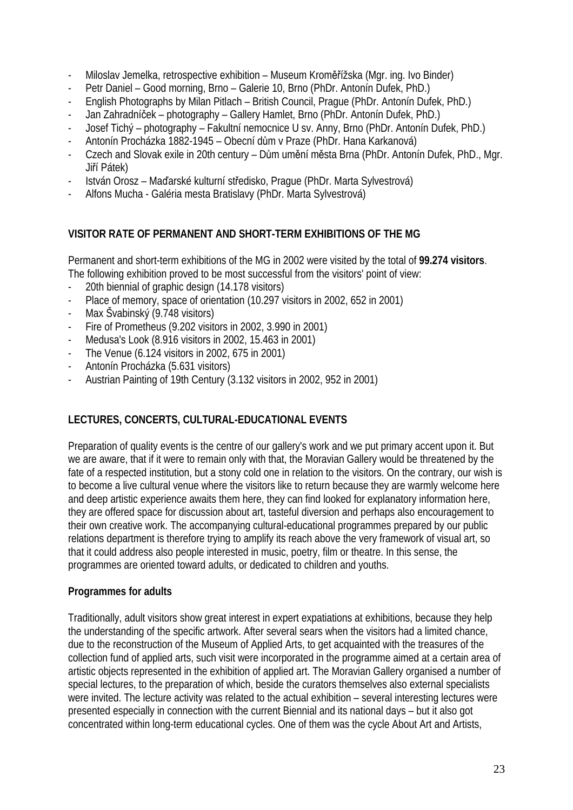- Miloslav Jemelka, retrospective exhibition Museum Kroměřížska (Mgr. ing. Ivo Binder)
- Petr Daniel Good morning, Brno Galerie 10, Brno (PhDr. Antonín Dufek, PhD.)
- English Photographs by Milan Pitlach British Council, Prague (PhDr. Antonín Dufek, PhD.)
- Jan Zahradníček photography Gallery Hamlet, Brno (PhDr. Antonín Dufek, PhD.)
- Josef Tichý photography Fakultní nemocnice U sv. Anny, Brno (PhDr. Antonín Dufek, PhD.)
- Antonín Procházka 1882-1945 Obecní dům v Praze (PhDr. Hana Karkanová)
- Czech and Slovak exile in 20th century Dům umění města Brna (PhDr. Antonín Dufek, PhD., Mgr. Jiří Pátek)
- István Orosz Maďarské kulturní středisko, Prague (PhDr. Marta Sylvestrová)
- Alfons Mucha Galéria mesta Bratislavy (PhDr. Marta Sylvestrová)

# **VISITOR RATE OF PERMANENT AND SHORT-TERM EXHIBITIONS OF THE MG**

Permanent and short-term exhibitions of the MG in 2002 were visited by the total of **99.274 visitors**. The following exhibition proved to be most successful from the visitors' point of view:

- 20th biennial of graphic design (14.178 visitors)
- Place of memory, space of orientation (10.297 visitors in 2002, 652 in 2001)
- Max Švabinský (9.748 visitors)
- Fire of Prometheus (9.202 visitors in 2002, 3.990 in 2001)
- Medusa's Look (8.916 visitors in 2002, 15.463 in 2001)
- The Venue (6.124 visitors in 2002, 675 in 2001)
- Antonín Procházka (5.631 visitors)
- Austrian Painting of 19th Century (3.132 visitors in 2002, 952 in 2001)

# **LECTURES, CONCERTS, CULTURAL-EDUCATIONAL EVENTS**

Preparation of quality events is the centre of our gallery's work and we put primary accent upon it. But we are aware, that if it were to remain only with that, the Moravian Gallery would be threatened by the fate of a respected institution, but a stony cold one in relation to the visitors. On the contrary, our wish is to become a live cultural venue where the visitors like to return because they are warmly welcome here and deep artistic experience awaits them here, they can find looked for explanatory information here, they are offered space for discussion about art, tasteful diversion and perhaps also encouragement to their own creative work. The accompanying cultural-educational programmes prepared by our public relations department is therefore trying to amplify its reach above the very framework of visual art, so that it could address also people interested in music, poetry, film or theatre. In this sense, the programmes are oriented toward adults, or dedicated to children and youths.

### **Programmes for adults**

Traditionally, adult visitors show great interest in expert expatiations at exhibitions, because they help the understanding of the specific artwork. After several sears when the visitors had a limited chance, due to the reconstruction of the Museum of Applied Arts, to get acquainted with the treasures of the collection fund of applied arts, such visit were incorporated in the programme aimed at a certain area of artistic objects represented in the exhibition of applied art. The Moravian Gallery organised a number of special lectures, to the preparation of which, beside the curators themselves also external specialists were invited. The lecture activity was related to the actual exhibition – several interesting lectures were presented especially in connection with the current Biennial and its national days – but it also got concentrated within long-term educational cycles. One of them was the cycle About Art and Artists,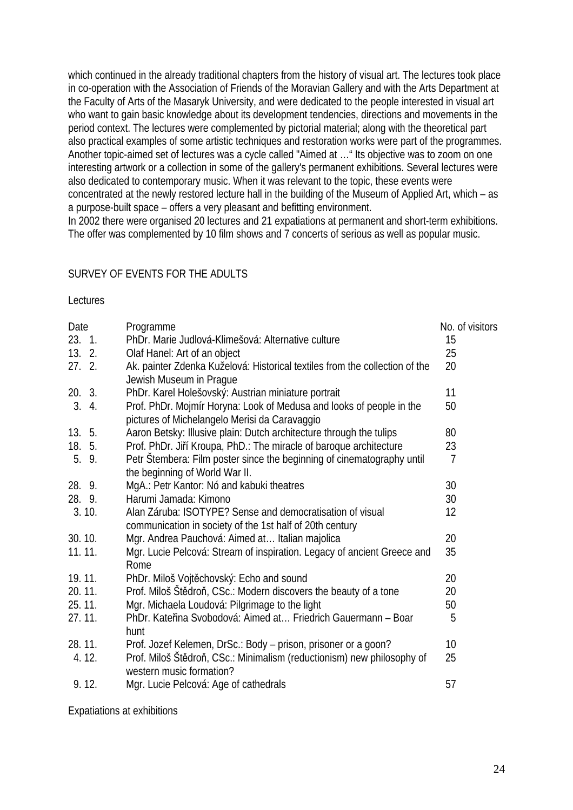which continued in the already traditional chapters from the history of visual art. The lectures took place in co-operation with the Association of Friends of the Moravian Gallery and with the Arts Department at the Faculty of Arts of the Masaryk University, and were dedicated to the people interested in visual art who want to gain basic knowledge about its development tendencies, directions and movements in the period context. The lectures were complemented by pictorial material; along with the theoretical part also practical examples of some artistic techniques and restoration works were part of the programmes. Another topic-aimed set of lectures was a cycle called "Aimed at …" Its objective was to zoom on one interesting artwork or a collection in some of the gallery's permanent exhibitions. Several lectures were also dedicated to contemporary music. When it was relevant to the topic, these events were concentrated at the newly restored lecture hall in the building of the Museum of Applied Art, which – as a purpose-built space – offers a very pleasant and befitting environment.

In 2002 there were organised 20 lectures and 21 expatiations at permanent and short-term exhibitions. The offer was complemented by 10 film shows and 7 concerts of serious as well as popular music.

# SURVEY OF EVENTS FOR THE ADULTS

#### Lectures

| Date   | Programme                                                                                                             | No. of visitors |
|--------|-----------------------------------------------------------------------------------------------------------------------|-----------------|
| 23.1   | PhDr. Marie Judlová-Klimešová: Alternative culture                                                                    | 15              |
| 13.2.  | Olaf Hanel: Art of an object                                                                                          | 25              |
| 27.2.  | Ak. painter Zdenka Kuželová: Historical textiles from the collection of the<br>Jewish Museum in Praque                | 20              |
| 20. 3. | PhDr. Karel Holešovský: Austrian miniature portrait                                                                   | 11              |
| 3.4.   | Prof. PhDr. Mojmír Horyna: Look of Medusa and looks of people in the<br>pictures of Michelangelo Merisi da Caravaggio | 50              |
| 13.5.  | Aaron Betsky: Illusive plain: Dutch architecture through the tulips                                                   | 80              |
| 18. 5. | Prof. PhDr. Jiří Kroupa, PhD.: The miracle of baroque architecture                                                    | 23              |
| 5. 9.  | Petr Štembera: Film poster since the beginning of cinematography until<br>the beginning of World War II.              | $\overline{7}$  |
| 28. 9. | MgA.: Petr Kantor: Nó and kabuki theatres                                                                             | 30              |
| 28. 9. | Harumi Jamada: Kimono                                                                                                 | 30              |
| 3.10.  | Alan Záruba: ISOTYPE? Sense and democratisation of visual<br>communication in society of the 1st half of 20th century | 12              |
| 30.10. | Mgr. Andrea Pauchová: Aimed at Italian majolica                                                                       | 20              |
| 11.11. | Mgr. Lucie Pelcová: Stream of inspiration. Legacy of ancient Greece and<br>Rome                                       | 35              |
| 19.11. | PhDr. Miloš Vojtěchovský: Echo and sound                                                                              | 20              |
| 20.11. | Prof. Miloš Štědroň, CSc.: Modern discovers the beauty of a tone                                                      | 20              |
| 25.11. | Mgr. Michaela Loudová: Pilgrimage to the light                                                                        | 50              |
| 27.11. | PhDr. Kateřina Svobodová: Aimed at Friedrich Gauermann - Boar<br>hunt                                                 | 5               |
| 28.11. | Prof. Jozef Kelemen, DrSc.: Body - prison, prisoner or a goon?                                                        | 10              |
| 4.12.  | Prof. Miloš Štědroň, CSc.: Minimalism (reductionism) new philosophy of<br>western music formation?                    | 25              |
| 9.12.  | Mgr. Lucie Pelcová: Age of cathedrals                                                                                 | 57              |

Expatiations at exhibitions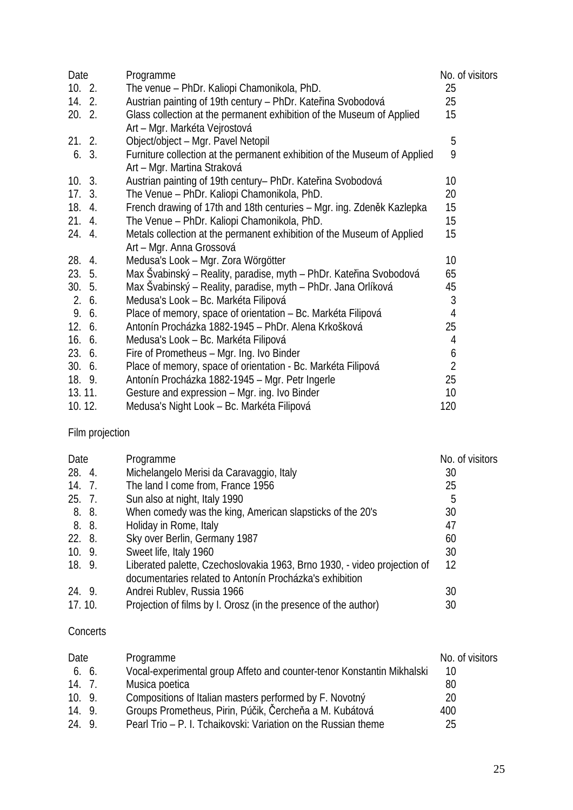| Date     | Programme |                                                                           |                 | No. of visitors |
|----------|-----------|---------------------------------------------------------------------------|-----------------|-----------------|
| 10.2.    |           | The venue – PhDr. Kaliopi Chamonikola, PhD.                               | 25              |                 |
| 14. 2.   |           | Austrian painting of 19th century - PhDr. Kateřina Svobodová              | 25              |                 |
| $20.2$ . |           | Glass collection at the permanent exhibition of the Museum of Applied     | 15              |                 |
|          |           | Art - Mgr. Markéta Vejrostová                                             |                 |                 |
| 21.2.    |           | Object/object - Mgr. Pavel Netopil                                        | 5               |                 |
| 6.3.     |           | Furniture collection at the permanent exhibition of the Museum of Applied | 9               |                 |
|          |           | Art - Mgr. Martina Straková                                               |                 |                 |
| 10.3.    |           | Austrian painting of 19th century- PhDr. Kateřina Svobodová               | 10 <sup>°</sup> |                 |
| 17.3.    |           | The Venue - PhDr. Kaliopi Chamonikola, PhD.                               | 20              |                 |
| 18. 4.   |           | French drawing of 17th and 18th centuries - Mgr. ing. Zdeněk Kazlepka     | 15              |                 |
| 21. 4.   |           | The Venue - PhDr. Kaliopi Chamonikola, PhD.                               | 15              |                 |
| 24. 4.   |           | Metals collection at the permanent exhibition of the Museum of Applied    | 15              |                 |
|          |           | Art - Mgr. Anna Grossová                                                  |                 |                 |
| 28. 4.   |           | Medusa's Look – Mgr. Zora Wörgötter                                       | 10              |                 |
| 23. 5.   |           | Max Švabinský – Reality, paradise, myth – PhDr. Kateřina Svobodová        | 65              |                 |
| 30.5.    |           | Max Švabinský – Reality, paradise, myth – PhDr. Jana Orlíková             | 45              |                 |
| 2.6.     |           | Medusa's Look - Bc. Markéta Filipová                                      | 3               |                 |
| 9. 6.    |           | Place of memory, space of orientation - Bc. Markéta Filipová              | 4               |                 |
| 12.6.    |           | Antonín Procházka 1882-1945 – PhDr. Alena Krkošková                       | 25              |                 |
| 16.6.    |           | Medusa's Look - Bc. Markéta Filipová                                      | 4               |                 |
| 23.6.    |           | Fire of Prometheus - Mgr. Ing. Ivo Binder                                 | 6               |                 |
| 30.6.    |           | Place of memory, space of orientation - Bc. Markéta Filipová              | $\overline{2}$  |                 |
| 18. 9.   |           | Antonín Procházka 1882-1945 – Mgr. Petr Ingerle                           | 25              |                 |
| 13.11.   |           | Gesture and expression - Mgr. ing. Ivo Binder                             | 10              |                 |
| 10.12.   |           | Medusa's Night Look - Bc. Markéta Filipová                                | 120             |                 |

# Film projection

| Date   | Programme                                                                | No. of visitors |
|--------|--------------------------------------------------------------------------|-----------------|
| 28. 4. | Michelangelo Merisi da Caravaggio, Italy                                 | 30              |
| 14. 7. | The land I come from, France 1956                                        | 25              |
| 25.7.  | Sun also at night, Italy 1990                                            | 5               |
| 8. 8.  | When comedy was the king, American slapsticks of the 20's                | 30              |
| 8. 8.  | Holiday in Rome, Italy                                                   | 47              |
| 22. 8. | Sky over Berlin, Germany 1987                                            | 60              |
| 10.9.  | Sweet life, Italy 1960                                                   | 30              |
| 18. 9. | Liberated palette, Czechoslovakia 1963, Brno 1930, - video projection of | 12              |
|        | documentaries related to Antonín Procházka's exhibition                  |                 |
| 24. 9. | Andrei Rublev, Russia 1966                                               | 30              |
| 17.10. | Projection of films by I. Orosz (in the presence of the author)          | 30              |

### **Concerts**

| Date   | Programme                                                              | No. of visitors |
|--------|------------------------------------------------------------------------|-----------------|
| 6. 6.  | Vocal-experimental group Affeto and counter-tenor Konstantin Mikhalski | 10              |
| 14.7.  | Musica poetica                                                         | 80              |
| 10.9.  | Compositions of Italian masters performed by F. Novotný                | 20              |
| 14. 9. | Groups Prometheus, Pirin, Púčik, Čercheňa a M. Kubátová                | 400             |
| 24. 9. | Pearl Trio – P. I. Tchaikovski: Variation on the Russian theme         | 25              |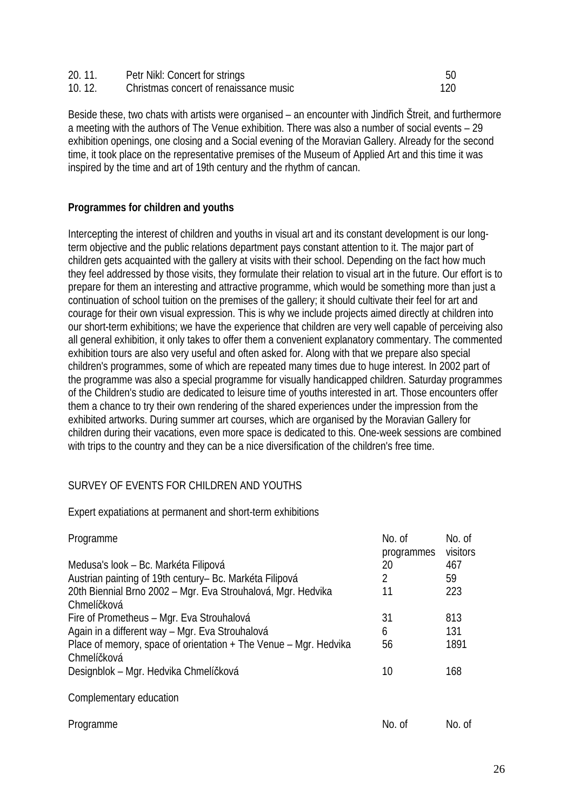| 20.11. | Petr Nikl: Concert for strings         |  |
|--------|----------------------------------------|--|
| 10.12. | Christmas concert of renaissance music |  |

Beside these, two chats with artists were organised – an encounter with Jindřich Štreit, and furthermore a meeting with the authors of The Venue exhibition. There was also a number of social events – 29 exhibition openings, one closing and a Social evening of the Moravian Gallery. Already for the second time, it took place on the representative premises of the Museum of Applied Art and this time it was inspired by the time and art of 19th century and the rhythm of cancan.

# **Programmes for children and youths**

Intercepting the interest of children and youths in visual art and its constant development is our longterm objective and the public relations department pays constant attention to it. The major part of children gets acquainted with the gallery at visits with their school. Depending on the fact how much they feel addressed by those visits, they formulate their relation to visual art in the future. Our effort is to prepare for them an interesting and attractive programme, which would be something more than just a continuation of school tuition on the premises of the gallery; it should cultivate their feel for art and courage for their own visual expression. This is why we include projects aimed directly at children into our short-term exhibitions; we have the experience that children are very well capable of perceiving also all general exhibition, it only takes to offer them a convenient explanatory commentary. The commented exhibition tours are also very useful and often asked for. Along with that we prepare also special children's programmes, some of which are repeated many times due to huge interest. In 2002 part of the programme was also a special programme for visually handicapped children. Saturday programmes of the Children's studio are dedicated to leisure time of youths interested in art. Those encounters offer them a chance to try their own rendering of the shared experiences under the impression from the exhibited artworks. During summer art courses, which are organised by the Moravian Gallery for children during their vacations, even more space is dedicated to this. One-week sessions are combined with trips to the country and they can be a nice diversification of the children's free time.

# SURVEY OF EVENTS FOR CHILDREN AND YOUTHS

Expert expatiations at permanent and short-term exhibitions

| Programme                                                                       | No. of<br>programmes | No. of<br>visitors |
|---------------------------------------------------------------------------------|----------------------|--------------------|
| Medusa's look – Bc. Markéta Filipová                                            | 20                   | 467                |
| Austrian painting of 19th century– Bc. Markéta Filipová                         | 2                    | 59                 |
| 20th Biennial Brno 2002 - Mgr. Eva Strouhalová, Mgr. Hedvika                    | 11                   | 223                |
| Chmelíčková                                                                     |                      |                    |
| Fire of Prometheus – Mgr. Eva Strouhalová                                       | 31                   | 813                |
| Again in a different way - Mgr. Eva Strouhalová                                 | 6                    | 131                |
| Place of memory, space of orientation + The Venue – Mgr. Hedvika<br>Chmelíčková | 56                   | 1891               |
| Designblok – Mgr. Hedvika Chmelíčková                                           | 10                   | 168                |
| Complementary education                                                         |                      |                    |
| Programme                                                                       | No. of               | No. of             |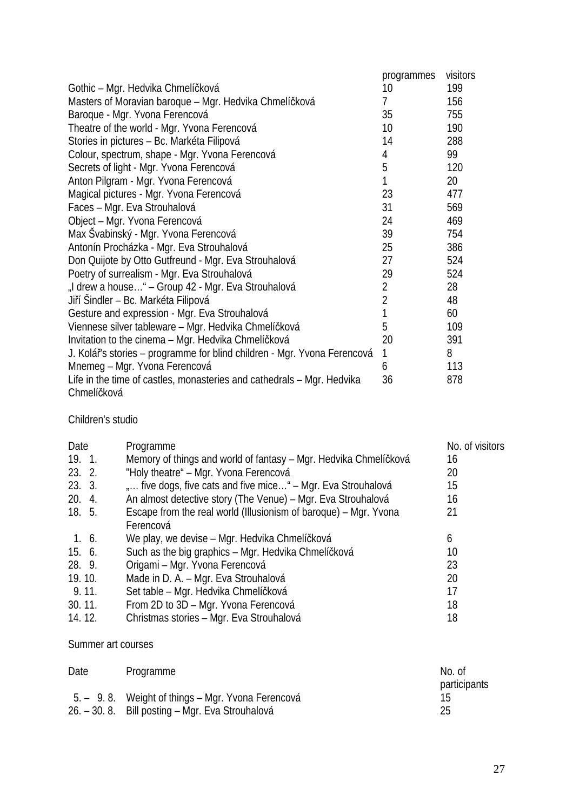|                                                                          | programmes     | visitors |
|--------------------------------------------------------------------------|----------------|----------|
| Gothic – Mgr. Hedvika Chmelíčková                                        | 10             | 199      |
| Masters of Moravian baroque – Mgr. Hedvika Chmelíčková                   | $\overline{7}$ | 156      |
| Baroque - Mgr. Yvona Ferencová                                           | 35             | 755      |
| Theatre of the world - Mgr. Yvona Ferencová                              | 10             | 190      |
| Stories in pictures - Bc. Markéta Filipová                               | 14             | 288      |
| Colour, spectrum, shape - Mgr. Yvona Ferencová                           | 4              | 99       |
| Secrets of light - Mgr. Yvona Ferencová                                  | 5              | 120      |
| Anton Pilgram - Mgr. Yvona Ferencová                                     | 1              | 20       |
| Magical pictures - Mgr. Yvona Ferencová                                  | 23             | 477      |
| Faces - Mgr. Eva Strouhalová                                             | 31             | 569      |
| Object - Mgr. Yvona Ferencová                                            | 24             | 469      |
| Max Švabinský - Mgr. Yvona Ferencová                                     | 39             | 754      |
| Antonín Procházka - Mgr. Eva Strouhalová                                 | 25             | 386      |
| Don Quijote by Otto Gutfreund - Mgr. Eva Strouhalová                     | 27             | 524      |
| Poetry of surrealism - Mgr. Eva Strouhalová                              | 29             | 524      |
| "I drew a house" – Group 42 - Mgr. Eva Strouhalová                       | 2              | 28       |
| Jiří Šindler – Bc. Markéta Filipová                                      | $\overline{2}$ | 48       |
| Gesture and expression - Mgr. Eva Strouhalová                            | 1              | 60       |
| Viennese silver tableware – Mgr. Hedvika Chmelíčková                     | 5              | 109      |
| Invitation to the cinema - Mgr. Hedvika Chmelíčková                      | 20             | 391      |
| J. Kolář's stories – programme for blind children - Mgr. Yvona Ferencová | 1              | 8        |
| Mnemeg – Mgr. Yvona Ferencová                                            | 6              | 113      |
| Life in the time of castles, monasteries and cathedrals - Mgr. Hedvika   | 36             | 878      |
| Chmelíčková                                                              |                |          |

Children's studio

| Date   | Programme                                                        | No. of visitors |
|--------|------------------------------------------------------------------|-----------------|
| 19.1   | Memory of things and world of fantasy – Mgr. Hedvika Chmelíčková | 16              |
| 23.2.  | "Holy theatre" – Mgr. Yvona Ferencová                            | 20              |
| 23.3.  | " five dogs, five cats and five mice" – Mgr. Eva Strouhalová     | 15              |
| 20.4.  | An almost detective story (The Venue) – Mgr. Eva Strouhalová     | 16              |
| 18. 5. | Escape from the real world (Illusionism of baroque) – Mgr. Yvona | 21              |
|        | Ferencová                                                        |                 |
| 1.6.   | We play, we devise – Mgr. Hedvika Chmelíčková                    | 6               |
| 15. 6. | Such as the big graphics – Mgr. Hedvika Chmelíčková              | 10              |
| 28. 9. | Origami - Mgr. Yvona Ferencová                                   | 23              |
| 19.10. | Made in D. A. - Mgr. Eva Strouhalová                             | 20              |
| 9.11.  | Set table – Mgr. Hedvika Chmelíčková                             | 17              |
| 30.11. | From 2D to 3D - Mgr. Yvona Ferencová                             | 18              |
| 14.12. | Christmas stories - Mgr. Eva Strouhalová                         | 18              |

Summer art courses

| Date | Programme                                         | No. of       |
|------|---------------------------------------------------|--------------|
|      |                                                   | participants |
|      | 5. – 9.8. Weight of things – Mgr. Yvona Ferencová |              |
|      | 26. – 30. 8. Bill posting – Mgr. Eva Strouhalová  | 25           |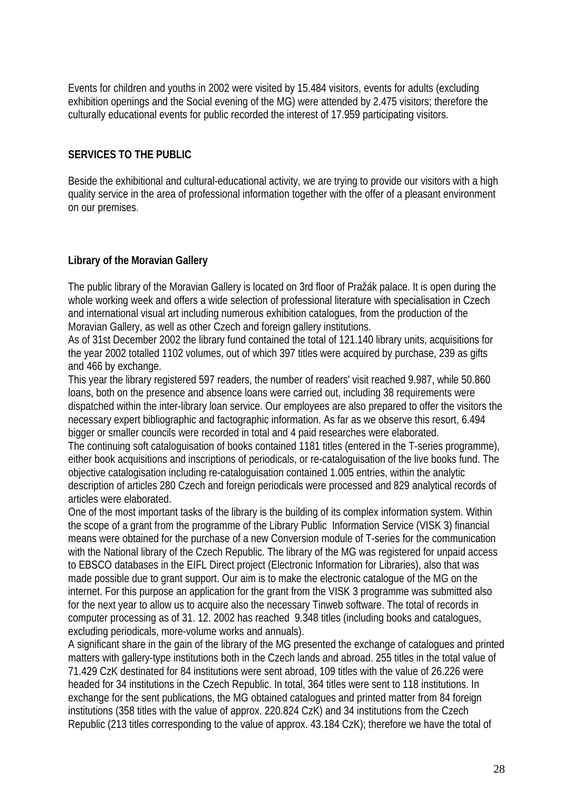Events for children and youths in 2002 were visited by 15.484 visitors, events for adults (excluding exhibition openings and the Social evening of the MG) were attended by 2.475 visitors; therefore the culturally educational events for public recorded the interest of 17.959 participating visitors.

# **SERVICES TO THE PUBLIC**

Beside the exhibitional and cultural-educational activity, we are trying to provide our visitors with a high quality service in the area of professional information together with the offer of a pleasant environment on our premises.

# **Library of the Moravian Gallery**

The public library of the Moravian Gallery is located on 3rd floor of Pražák palace. It is open during the whole working week and offers a wide selection of professional literature with specialisation in Czech and international visual art including numerous exhibition catalogues, from the production of the Moravian Gallery, as well as other Czech and foreign gallery institutions.

As of 31st December 2002 the library fund contained the total of 121.140 library units, acquisitions for the year 2002 totalled 1102 volumes, out of which 397 titles were acquired by purchase, 239 as gifts and 466 by exchange.

This year the library registered 597 readers, the number of readers' visit reached 9.987, while 50.860 loans, both on the presence and absence loans were carried out, including 38 requirements were dispatched within the inter-library loan service. Our employees are also prepared to offer the visitors the necessary expert bibliographic and factographic information. As far as we observe this resort, 6.494 bigger or smaller councils were recorded in total and 4 paid researches were elaborated.

The continuing soft cataloguisation of books contained 1181 titles (entered in the T-series programme), either book acquisitions and inscriptions of periodicals, or re-cataloguisation of the live books fund. The objective catalogisation including re-cataloguisation contained 1.005 entries, within the analytic description of articles 280 Czech and foreign periodicals were processed and 829 analytical records of articles were elaborated.

One of the most important tasks of the library is the building of its complex information system. Within the scope of a grant from the programme of the Library Public Information Service (VISK 3) financial means were obtained for the purchase of a new Conversion module of T-series for the communication with the National library of the Czech Republic. The library of the MG was registered for unpaid access to EBSCO databases in the EIFL Direct project (Electronic Information for Libraries), also that was made possible due to grant support. Our aim is to make the electronic catalogue of the MG on the internet. For this purpose an application for the grant from the VISK 3 programme was submitted also for the next year to allow us to acquire also the necessary Tinweb software. The total of records in computer processing as of 31. 12. 2002 has reached 9.348 titles (including books and catalogues, excluding periodicals, more-volume works and annuals).

A significant share in the gain of the library of the MG presented the exchange of catalogues and printed matters with gallery-type institutions both in the Czech lands and abroad. 255 titles in the total value of 71.429 CzK destinated for 84 institutions were sent abroad, 109 titles with the value of 26.226 were headed for 34 institutions in the Czech Republic. In total, 364 titles were sent to 118 institutions. In exchange for the sent publications, the MG obtained catalogues and printed matter from 84 foreign institutions (358 titles with the value of approx. 220.824 CzK) and 34 institutions from the Czech Republic (213 titles corresponding to the value of approx. 43.184 CzK); therefore we have the total of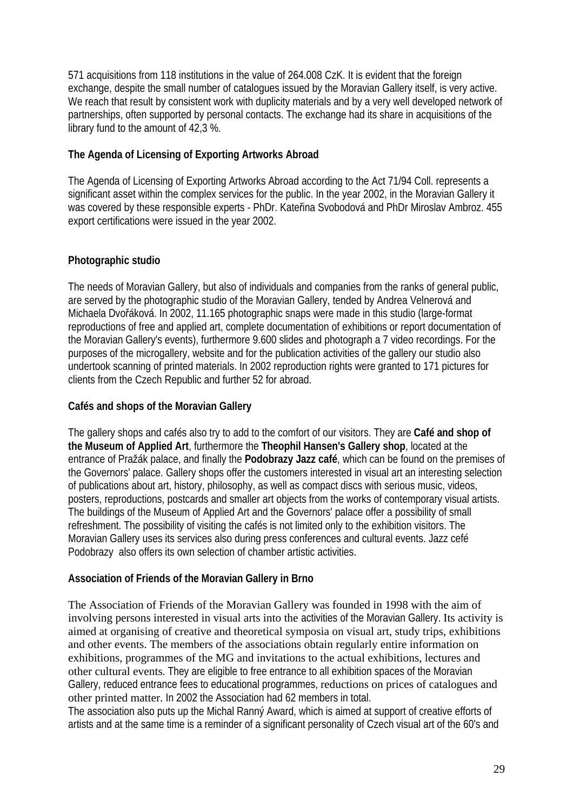571 acquisitions from 118 institutions in the value of 264.008 CzK. It is evident that the foreign exchange, despite the small number of catalogues issued by the Moravian Gallery itself, is very active. We reach that result by consistent work with duplicity materials and by a very well developed network of partnerships, often supported by personal contacts. The exchange had its share in acquisitions of the library fund to the amount of 42,3 %.

# **The Agenda of Licensing of Exporting Artworks Abroad**

The Agenda of Licensing of Exporting Artworks Abroad according to the Act 71/94 Coll. represents a significant asset within the complex services for the public. In the year 2002, in the Moravian Gallery it was covered by these responsible experts - PhDr. Kateřina Svobodová and PhDr Miroslav Ambroz. 455 export certifications were issued in the year 2002.

# **Photographic studio**

The needs of Moravian Gallery, but also of individuals and companies from the ranks of general public, are served by the photographic studio of the Moravian Gallery, tended by Andrea Velnerová and Michaela Dvořáková. In 2002, 11.165 photographic snaps were made in this studio (large-format reproductions of free and applied art, complete documentation of exhibitions or report documentation of the Moravian Gallery's events), furthermore 9.600 slides and photograph a 7 video recordings. For the purposes of the microgallery, website and for the publication activities of the gallery our studio also undertook scanning of printed materials. In 2002 reproduction rights were granted to 171 pictures for clients from the Czech Republic and further 52 for abroad.

### **Cafés and shops of the Moravian Gallery**

The gallery shops and cafés also try to add to the comfort of our visitors. They are **Café and shop of the Museum of Applied Art**, furthermore the **Theophil Hansen's Gallery shop**, located at the entrance of Pražák palace, and finally the **Podobrazy Jazz café**, which can be found on the premises of the Governors' palace. Gallery shops offer the customers interested in visual art an interesting selection of publications about art, history, philosophy, as well as compact discs with serious music, videos, posters, reproductions, postcards and smaller art objects from the works of contemporary visual artists. The buildings of the Museum of Applied Art and the Governors' palace offer a possibility of small refreshment. The possibility of visiting the cafés is not limited only to the exhibition visitors. The Moravian Gallery uses its services also during press conferences and cultural events. Jazz cefé Podobrazy also offers its own selection of chamber artistic activities.

### **Association of Friends of the Moravian Gallery in Brno**

The Association of Friends of the Moravian Gallery was founded in 1998 with the aim of involving persons interested in visual arts into the activities of the Moravian Gallery. Its activity is aimed at organising of creative and theoretical symposia on visual art, study trips, exhibitions and other events. The members of the associations obtain regularly entire information on exhibitions, programmes of the MG and invitations to the actual exhibitions, lectures and other cultural events. They are eligible to free entrance to all exhibition spaces of the Moravian Gallery, reduced entrance fees to educational programmes, reductions on prices of catalogues and other printed matter. In 2002 the Association had 62 members in total.

The association also puts up the Michal Ranný Award, which is aimed at support of creative efforts of artists and at the same time is a reminder of a significant personality of Czech visual art of the 60's and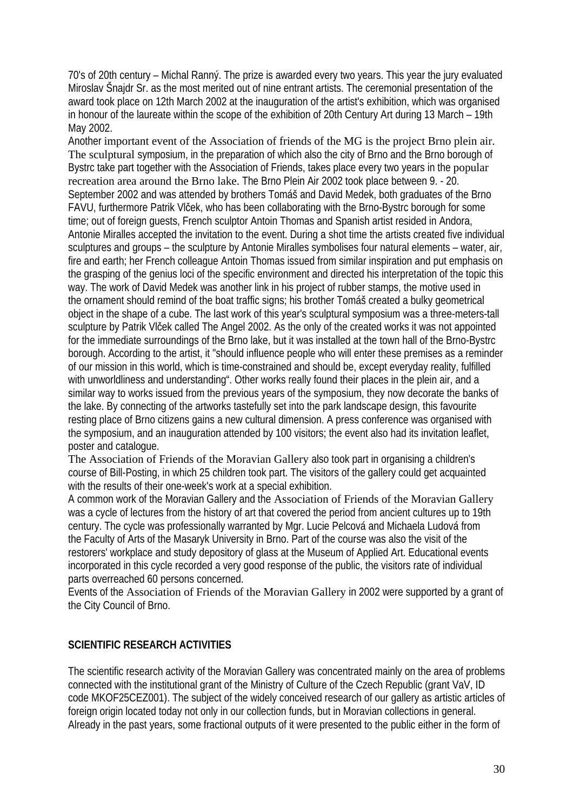70's of 20th century – Michal Ranný. The prize is awarded every two years. This year the jury evaluated Miroslav Šnajdr Sr. as the most merited out of nine entrant artists. The ceremonial presentation of the award took place on 12th March 2002 at the inauguration of the artist's exhibition, which was organised in honour of the laureate within the scope of the exhibition of 20th Century Art during 13 March – 19th May 2002.

Another important event of the Association of friends of the MG is the project Brno plein air. The sculptural symposium, in the preparation of which also the city of Brno and the Brno borough of Bystrc take part together with the Association of Friends, takes place every two years in the popular recreation area around the Brno lake. The Brno Plein Air 2002 took place between 9. - 20. September 2002 and was attended by brothers Tomáš and David Medek, both graduates of the Brno FAVU, furthermore Patrik Vlček, who has been collaborating with the Brno-Bystrc borough for some time; out of foreign guests, French sculptor Antoin Thomas and Spanish artist resided in Andora, Antonie Miralles accepted the invitation to the event. During a shot time the artists created five individual sculptures and groups – the sculpture by Antonie Miralles symbolises four natural elements – water, air, fire and earth; her French colleague Antoin Thomas issued from similar inspiration and put emphasis on the grasping of the genius loci of the specific environment and directed his interpretation of the topic this way. The work of David Medek was another link in his project of rubber stamps, the motive used in the ornament should remind of the boat traffic signs; his brother Tomáš created a bulky geometrical object in the shape of a cube. The last work of this year's sculptural symposium was a three-meters-tall sculpture by Patrik Vlček called The Angel 2002. As the only of the created works it was not appointed for the immediate surroundings of the Brno lake, but it was installed at the town hall of the Brno-Bystrc borough. According to the artist, it "should influence people who will enter these premises as a reminder of our mission in this world, which is time-constrained and should be, except everyday reality, fulfilled with unworldliness and understanding". Other works really found their places in the plein air, and a similar way to works issued from the previous years of the symposium, they now decorate the banks of the lake. By connecting of the artworks tastefully set into the park landscape design, this favourite resting place of Brno citizens gains a new cultural dimension. A press conference was organised with the symposium, and an inauguration attended by 100 visitors; the event also had its invitation leaflet, poster and catalogue.

The Association of Friends of the Moravian Gallery also took part in organising a children's course of Bill-Posting, in which 25 children took part. The visitors of the gallery could get acquainted with the results of their one-week's work at a special exhibition.

A common work of the Moravian Gallery and the Association of Friends of the Moravian Gallery was a cycle of lectures from the history of art that covered the period from ancient cultures up to 19th century. The cycle was professionally warranted by Mgr. Lucie Pelcová and Michaela Ludová from the Faculty of Arts of the Masaryk University in Brno. Part of the course was also the visit of the restorers' workplace and study depository of glass at the Museum of Applied Art. Educational events incorporated in this cycle recorded a very good response of the public, the visitors rate of individual parts overreached 60 persons concerned.

Events of the Association of Friends of the Moravian Gallery in 2002 were supported by a grant of the City Council of Brno.

# **SCIENTIFIC RESEARCH ACTIVITIES**

The scientific research activity of the Moravian Gallery was concentrated mainly on the area of problems connected with the institutional grant of the Ministry of Culture of the Czech Republic (grant VaV, ID code MKOF25CEZ001). The subject of the widely conceived research of our gallery as artistic articles of foreign origin located today not only in our collection funds, but in Moravian collections in general. Already in the past years, some fractional outputs of it were presented to the public either in the form of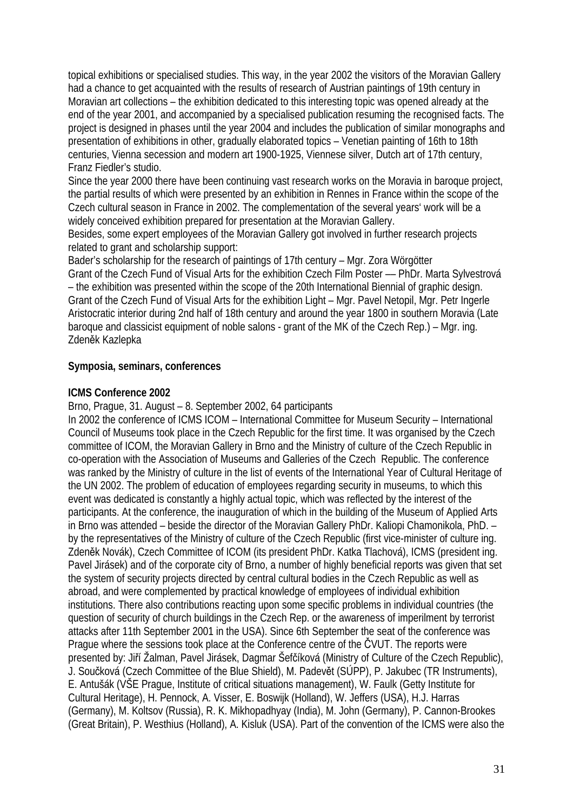topical exhibitions or specialised studies. This way, in the year 2002 the visitors of the Moravian Gallery had a chance to get acquainted with the results of research of Austrian paintings of 19th century in Moravian art collections – the exhibition dedicated to this interesting topic was opened already at the end of the year 2001, and accompanied by a specialised publication resuming the recognised facts. The project is designed in phases until the year 2004 and includes the publication of similar monographs and presentation of exhibitions in other, gradually elaborated topics – Venetian painting of 16th to 18th centuries, Vienna secession and modern art 1900-1925, Viennese silver, Dutch art of 17th century, Franz Fiedler's studio.

Since the year 2000 there have been continuing vast research works on the Moravia in baroque project, the partial results of which were presented by an exhibition in Rennes in France within the scope of the Czech cultural season in France in 2002. The complementation of the several years' work will be a widely conceived exhibition prepared for presentation at the Moravian Gallery.

Besides, some expert employees of the Moravian Gallery got involved in further research projects related to grant and scholarship support:

Bader's scholarship for the research of paintings of 17th century – Mgr. Zora Wörgötter

Grant of the Czech Fund of Visual Arts for the exhibition Czech Film Poster –– PhDr. Marta Sylvestrová – the exhibition was presented within the scope of the 20th International Biennial of graphic design. Grant of the Czech Fund of Visual Arts for the exhibition Light – Mgr. Pavel Netopil, Mgr. Petr Ingerle Aristocratic interior during 2nd half of 18th century and around the year 1800 in southern Moravia (Late baroque and classicist equipment of noble salons - grant of the MK of the Czech Rep.) – Mgr. ing. Zdeněk Kazlepka

### **Symposia, seminars, conferences**

#### **ICMS Conference 2002**

Brno, Prague, 31. August – 8. September 2002, 64 participants

In 2002 the conference of ICMS ICOM – International Committee for Museum Security – International Council of Museums took place in the Czech Republic for the first time. It was organised by the Czech committee of ICOM, the Moravian Gallery in Brno and the Ministry of culture of the Czech Republic in co-operation with the Association of Museums and Galleries of the Czech Republic. The conference was ranked by the Ministry of culture in the list of events of the International Year of Cultural Heritage of the UN 2002. The problem of education of employees regarding security in museums, to which this event was dedicated is constantly a highly actual topic, which was reflected by the interest of the participants. At the conference, the inauguration of which in the building of the Museum of Applied Arts in Brno was attended – beside the director of the Moravian Gallery PhDr. Kaliopi Chamonikola, PhD. – by the representatives of the Ministry of culture of the Czech Republic (first vice-minister of culture ing. Zdeněk Novák), Czech Committee of ICOM (its president PhDr. Katka Tlachová), ICMS (president ing. Pavel Jirásek) and of the corporate city of Brno, a number of highly beneficial reports was given that set the system of security projects directed by central cultural bodies in the Czech Republic as well as abroad, and were complemented by practical knowledge of employees of individual exhibition institutions. There also contributions reacting upon some specific problems in individual countries (the question of security of church buildings in the Czech Rep. or the awareness of imperilment by terrorist attacks after 11th September 2001 in the USA). Since 6th September the seat of the conference was Prague where the sessions took place at the Conference centre of the ČVUT. The reports were presented by: Jiří Žalman, Pavel Jirásek, Dagmar Šefčíková (Ministry of Culture of the Czech Republic), J. Součková (Czech Committee of the Blue Shield), M. Padevět (SÚPP), P. Jakubec (TR Instruments), E. Antušák (VŠE Prague, Institute of critical situations management), W. Faulk (Getty Institute for Cultural Heritage), H. Pennock, A. Visser, E. Boswijk (Holland), W. Jeffers (USA), H.J. Harras (Germany), M. Koltsov (Russia), R. K. Mikhopadhyay (India), M. John (Germany), P. Cannon-Brookes (Great Britain), P. Westhius (Holland), A. Kisluk (USA). Part of the convention of the ICMS were also the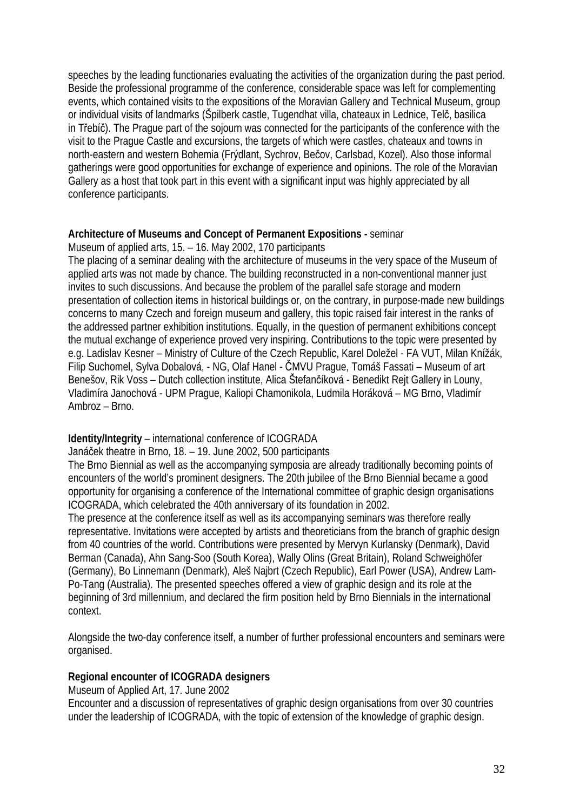speeches by the leading functionaries evaluating the activities of the organization during the past period. Beside the professional programme of the conference, considerable space was left for complementing events, which contained visits to the expositions of the Moravian Gallery and Technical Museum, group or individual visits of landmarks (Špilberk castle, Tugendhat villa, chateaux in Lednice, Telč, basilica in Třebíč). The Prague part of the sojourn was connected for the participants of the conference with the visit to the Prague Castle and excursions, the targets of which were castles, chateaux and towns in north-eastern and western Bohemia (Frýdlant, Sychrov, Bečov, Carlsbad, Kozel). Also those informal gatherings were good opportunities for exchange of experience and opinions. The role of the Moravian Gallery as a host that took part in this event with a significant input was highly appreciated by all conference participants.

### **Architecture of Museums and Concept of Permanent Expositions -** seminar

Museum of applied arts, 15. – 16. May 2002, 170 participants

The placing of a seminar dealing with the architecture of museums in the very space of the Museum of applied arts was not made by chance. The building reconstructed in a non-conventional manner just invites to such discussions. And because the problem of the parallel safe storage and modern presentation of collection items in historical buildings or, on the contrary, in purpose-made new buildings concerns to many Czech and foreign museum and gallery, this topic raised fair interest in the ranks of the addressed partner exhibition institutions. Equally, in the question of permanent exhibitions concept the mutual exchange of experience proved very inspiring. Contributions to the topic were presented by e.g. Ladislav Kesner – Ministry of Culture of the Czech Republic, Karel Doležel - FA VUT, Milan Knížák, Filip Suchomel, Sylva Dobalová, - NG, Olaf Hanel - ČMVU Prague, Tomáš Fassati – Museum of art Benešov, Rik Voss – Dutch collection institute, Alica Štefančíková - Benedikt Rejt Gallery in Louny, Vladimíra Janochová - UPM Prague, Kaliopi Chamonikola, Ludmila Horáková – MG Brno, Vladimír Ambroz – Brno.

### **Identity/Integrity** – international conference of ICOGRADA

Janáček theatre in Brno, 18. – 19. June 2002, 500 participants

The Brno Biennial as well as the accompanying symposia are already traditionally becoming points of encounters of the world's prominent designers. The 20th jubilee of the Brno Biennial became a good opportunity for organising a conference of the International committee of graphic design organisations ICOGRADA, which celebrated the 40th anniversary of its foundation in 2002.

The presence at the conference itself as well as its accompanying seminars was therefore really representative. Invitations were accepted by artists and theoreticians from the branch of graphic design from 40 countries of the world. Contributions were presented by Mervyn Kurlansky (Denmark), David Berman (Canada), Ahn Sang-Soo (South Korea), Wally Olins (Great Britain), Roland Schweighöfer (Germany), Bo Linnemann (Denmark), Aleš Najbrt (Czech Republic), Earl Power (USA), Andrew Lam-Po-Tang (Australia). The presented speeches offered a view of graphic design and its role at the beginning of 3rd millennium, and declared the firm position held by Brno Biennials in the international context.

Alongside the two-day conference itself, a number of further professional encounters and seminars were organised.

### **Regional encounter of ICOGRADA designers**

Museum of Applied Art, 17. June 2002

Encounter and a discussion of representatives of graphic design organisations from over 30 countries under the leadership of ICOGRADA, with the topic of extension of the knowledge of graphic design.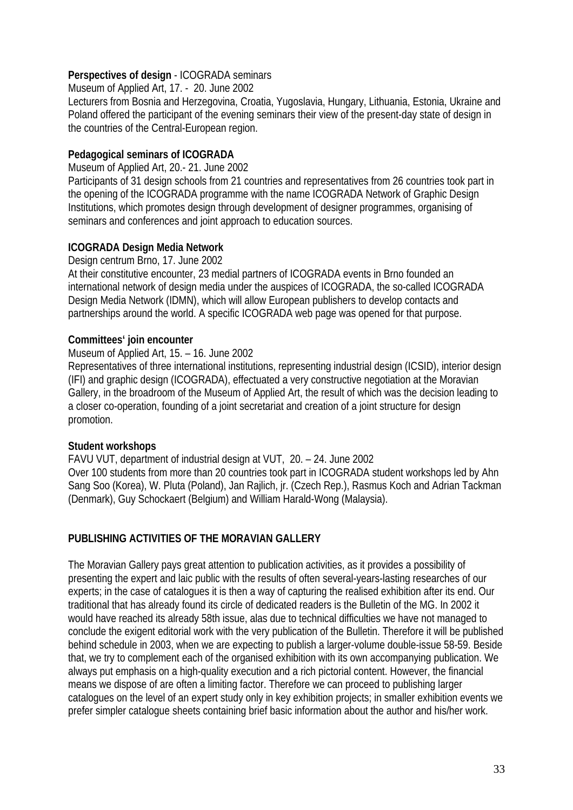# **Perspectives of design** - ICOGRADA seminars

Museum of Applied Art, 17. - 20. June 2002

Lecturers from Bosnia and Herzegovina, Croatia, Yugoslavia, Hungary, Lithuania, Estonia, Ukraine and Poland offered the participant of the evening seminars their view of the present-day state of design in the countries of the Central-European region.

# **Pedagogical seminars of ICOGRADA**

Museum of Applied Art, 20.- 21. June 2002

Participants of 31 design schools from 21 countries and representatives from 26 countries took part in the opening of the ICOGRADA programme with the name ICOGRADA Network of Graphic Design Institutions, which promotes design through development of designer programmes, organising of seminars and conferences and joint approach to education sources.

# **ICOGRADA Design Media Network**

Design centrum Brno, 17. June 2002

At their constitutive encounter, 23 medial partners of ICOGRADA events in Brno founded an international network of design media under the auspices of ICOGRADA, the so-called ICOGRADA Design Media Network (IDMN), which will allow European publishers to develop contacts and partnerships around the world. A specific ICOGRADA web page was opened for that purpose.

### **Committees' join encounter**

Museum of Applied Art, 15. – 16. June 2002

Representatives of three international institutions, representing industrial design (ICSID), interior design (IFI) and graphic design (ICOGRADA), effectuated a very constructive negotiation at the Moravian Gallery, in the broadroom of the Museum of Applied Art, the result of which was the decision leading to a closer co-operation, founding of a joint secretariat and creation of a joint structure for design promotion.

# **Student workshops**

FAVU VUT, department of industrial design at VUT, 20. – 24. June 2002 Over 100 students from more than 20 countries took part in ICOGRADA student workshops led by Ahn Sang Soo (Korea), W. Pluta (Poland), Jan Rajlich, jr. (Czech Rep.), Rasmus Koch and Adrian Tackman (Denmark), Guy Schockaert (Belgium) and William Harald-Wong (Malaysia).

# **PUBLISHING ACTIVITIES OF THE MORAVIAN GALLERY**

The Moravian Gallery pays great attention to publication activities, as it provides a possibility of presenting the expert and laic public with the results of often several-years-lasting researches of our experts; in the case of catalogues it is then a way of capturing the realised exhibition after its end. Our traditional that has already found its circle of dedicated readers is the Bulletin of the MG. In 2002 it would have reached its already 58th issue, alas due to technical difficulties we have not managed to conclude the exigent editorial work with the very publication of the Bulletin. Therefore it will be published behind schedule in 2003, when we are expecting to publish a larger-volume double-issue 58-59. Beside that, we try to complement each of the organised exhibition with its own accompanying publication. We always put emphasis on a high-quality execution and a rich pictorial content. However, the financial means we dispose of are often a limiting factor. Therefore we can proceed to publishing larger catalogues on the level of an expert study only in key exhibition projects; in smaller exhibition events we prefer simpler catalogue sheets containing brief basic information about the author and his/her work.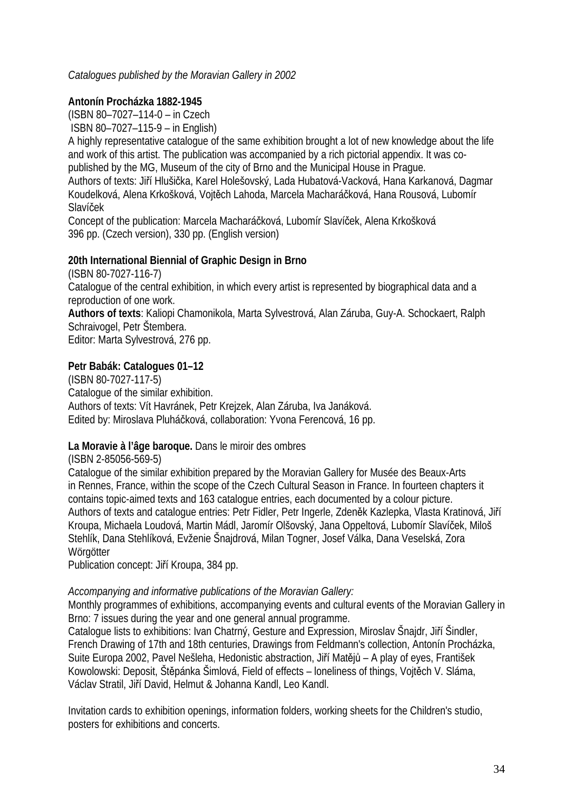### *Catalogues published by the Moravian Gallery in 2002*

### **Antonín Procházka 1882-1945**

(ISBN 80–7027–114-0 – in Czech ISBN 80–7027–115-9 – in English)

A highly representative catalogue of the same exhibition brought a lot of new knowledge about the life and work of this artist. The publication was accompanied by a rich pictorial appendix. It was copublished by the MG, Museum of the city of Brno and the Municipal House in Prague.

Authors of texts: Jiří Hlušička, Karel Holešovský, Lada Hubatová-Vacková, Hana Karkanová, Dagmar Koudelková, Alena Krkošková, Vojtěch Lahoda, Marcela Macharáčková, Hana Rousová, Lubomír Slavíček

Concept of the publication: Marcela Macharáčková, Lubomír Slavíček, Alena Krkošková 396 pp. (Czech version), 330 pp. (English version)

### **20th International Biennial of Graphic Design in Brno**

(ISBN 80-7027-116-7) Catalogue of the central exhibition, in which every artist is represented by biographical data and a reproduction of one work.

**Authors of texts**: Kaliopi Chamonikola, Marta Sylvestrová, Alan Záruba, Guy-A. Schockaert, Ralph Schraivogel, Petr Štembera.

Editor: Marta Sylvestrová, 276 pp.

### **Petr Babák: Catalogues 01–12**

(ISBN 80-7027-117-5) Catalogue of the similar exhibition. Authors of texts: Vít Havránek, Petr Krejzek, Alan Záruba, Iva Janáková. Edited by: Miroslava Pluháčková, collaboration: Yvona Ferencová, 16 pp.

### **La Moravie à l'âge baroque.** Dans le miroir des ombres

(ISBN 2-85056-569-5)

Catalogue of the similar exhibition prepared by the Moravian Gallery for Musée des Beaux-Arts in Rennes, France, within the scope of the Czech Cultural Season in France. In fourteen chapters it contains topic-aimed texts and 163 catalogue entries, each documented by a colour picture. Authors of texts and catalogue entries: Petr Fidler, Petr Ingerle, Zdeněk Kazlepka, Vlasta Kratinová, Jiří Kroupa, Michaela Loudová, Martin Mádl, Jaromír Olšovský, Jana Oppeltová, Lubomír Slavíček, Miloš Stehlík, Dana Stehlíková, Evženie Šnajdrová, Milan Togner, Josef Válka, Dana Veselská, Zora Wörgötter

Publication concept: Jiří Kroupa, 384 pp.

#### *Accompanying and informative publications of the Moravian Gallery:*

Monthly programmes of exhibitions, accompanying events and cultural events of the Moravian Gallery in Brno: 7 issues during the year and one general annual programme.

Catalogue lists to exhibitions: Ivan Chatrný, Gesture and Expression, Miroslav Šnajdr, Jiří Šindler, French Drawing of 17th and 18th centuries, Drawings from Feldmann's collection, Antonín Procházka, Suite Europa 2002, Pavel Nešleha, Hedonistic abstraction, Jiří Matějů – A play of eyes, František Kowolowski: Deposit, Štěpánka Šimlová, Field of effects – loneliness of things, Vojtěch V. Sláma, Václav Stratil, Jiří David, Helmut & Johanna Kandl, Leo Kandl.

Invitation cards to exhibition openings, information folders, working sheets for the Children's studio, posters for exhibitions and concerts.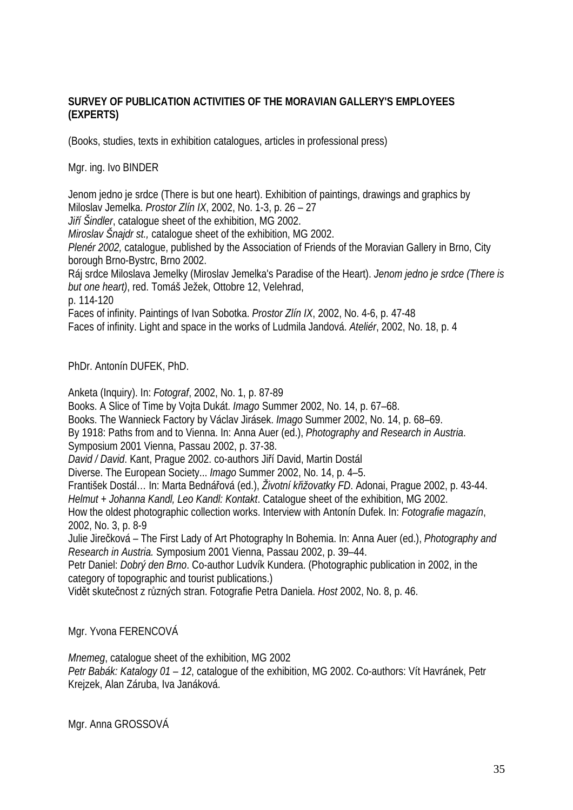# **SURVEY OF PUBLICATION ACTIVITIES OF THE MORAVIAN GALLERY'S EMPLOYEES (EXPERTS)**

(Books, studies, texts in exhibition catalogues, articles in professional press)

### Mgr. ing. Ivo BINDER

Jenom jedno je srdce (There is but one heart). Exhibition of paintings, drawings and graphics by Miloslav Jemelka. *Prostor Zlín IX*, 2002, No. 1-3, p. 26 – 27 *Jiří Šindler*, catalogue sheet of the exhibition, MG 2002. *Miroslav Šnajdr st.,* catalogue sheet of the exhibition, MG 2002. *Plenér 2002,* catalogue, published by the Association of Friends of the Moravian Gallery in Brno, City borough Brno-Bystrc, Brno 2002. Ráj srdce Miloslava Jemelky (Miroslav Jemelka's Paradise of the Heart). *Jenom jedno je srdce (There is but one heart)*, red. Tomáš Ježek, Ottobre 12, Velehrad, p. 114-120 Faces of infinity. Paintings of Ivan Sobotka. *Prostor Zlín IX*, 2002, No. 4-6, p. 47-48

Faces of infinity. Light and space in the works of Ludmila Jandová. *Ateliér*, 2002, No. 18, p. 4

PhDr. Antonín DUFEK, PhD.

Anketa (Inquiry). In: *Fotograf*, 2002, No. 1, p. 87-89 Books. A Slice of Time by Vojta Dukát. *Imago* Summer 2002, No. 14, p. 67–68. Books. The Wannieck Factory by Václav Jirásek. *Imago* Summer 2002, No. 14, p. 68–69. By 1918: Paths from and to Vienna. In: Anna Auer (ed.), *Photography and Research in Austria*. Symposium 2001 Vienna, Passau 2002, p. 37-38. *David / David*. Kant, Prague 2002. co-authors Jiří David, Martin Dostál Diverse. The European Society... *Imago* Summer 2002, No. 14, p. 4–5. František Dostál… In: Marta Bednářová (ed.), *Životní křižovatky FD*. Adonai, Prague 2002, p. 43-44. *Helmut + Johanna Kandl, Leo Kandl: Kontakt*. Catalogue sheet of the exhibition, MG 2002. How the oldest photographic collection works. Interview with Antonín Dufek. In: *Fotografie magazín*, 2002, No. 3, p. 8-9 Julie Jirečková – The First Lady of Art Photography In Bohemia. In: Anna Auer (ed.), *Photography and Research in Austria.* Symposium 2001 Vienna, Passau 2002, p. 39–44. Petr Daniel: *Dobrý den Brno*. Co-author Ludvík Kundera. (Photographic publication in 2002, in the category of topographic and tourist publications.)

Vidět skutečnost z různých stran. Fotografie Petra Daniela. *Host* 2002, No. 8, p. 46.

Mgr. Yvona FERENCOVÁ

*Mnemeg*, catalogue sheet of the exhibition, MG 2002 *Petr Babák: Katalogy 01 – 12*, catalogue of the exhibition, MG 2002. Co-authors: Vít Havránek, Petr Krejzek, Alan Záruba, Iva Janáková.

Mgr. Anna GROSSOVÁ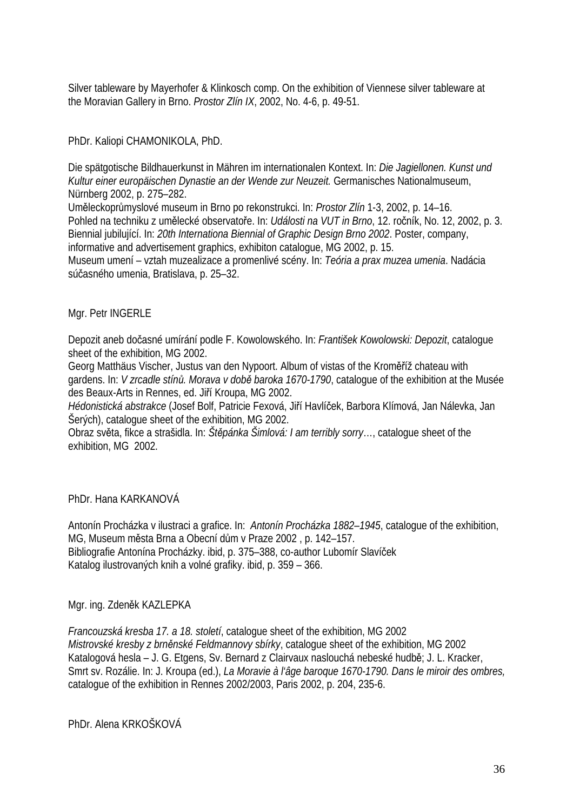Silver tableware by Mayerhofer & Klinkosch comp. On the exhibition of Viennese silver tableware at the Moravian Gallery in Brno. *Prostor Zlín IX*, 2002, No. 4-6, p. 49-51.

PhDr. Kaliopi CHAMONIKOLA, PhD.

Die spätgotische Bildhauerkunst in Mähren im internationalen Kontext. In: *Die Jagiellonen. Kunst und Kultur einer europäischen Dynastie an der Wende zur Neuzeit.* Germanisches Nationalmuseum, Nürnberg 2002, p. 275–282.

Uměleckoprůmyslové museum in Brno po rekonstrukci. In: *Prostor Zlín* 1-3, 2002, p. 14–16. Pohled na techniku z umělecké observatoře. In: *Události na VUT in Brno*, 12. ročník, No. 12, 2002, p. 3. Biennial jubilující. In: *20th Internationa Biennial of Graphic Design Brno 2002*. Poster, company, informative and advertisement graphics, exhibiton catalogue, MG 2002, p. 15.

Museum umení – vztah muzealizace a promenlivé scény. In: *Teória a prax muzea umenia*. Nadácia súčasného umenia, Bratislava, p. 25–32.

### Mgr. Petr INGERLE

Depozit aneb dočasné umírání podle F. Kowolowského. In: *František Kowolowski: Depozit*, catalogue sheet of the exhibition, MG 2002.

Georg Matthäus Vischer, Justus van den Nypoort. Album of vistas of the Kroměříž chateau with gardens. In: *V zrcadle stínů. Morava v době baroka 1670-1790*, catalogue of the exhibition at the Musée des Beaux-Arts in Rennes, ed. Jiří Kroupa, MG 2002.

*Hédonistická abstrakce* (Josef Bolf, Patricie Fexová, Jiří Havlíček, Barbora Klímová, Jan Nálevka, Jan Šerých), catalogue sheet of the exhibition, MG 2002.

Obraz světa, fikce a strašidla. In: *Štěpánka Šimlová: I am terribly sorry*…, catalogue sheet of the exhibition, MG 2002.

PhDr. Hana KARKANOVÁ

Antonín Procházka v ilustraci a grafice. In: *Antonín Procházka 1882–1945*, catalogue of the exhibition, MG, Museum města Brna a Obecní dům v Praze 2002 , p. 142–157. Bibliografie Antonína Procházky. ibid, p. 375–388, co-author Lubomír Slavíček Katalog ilustrovaných knih a volné grafiky. ibid, p. 359 – 366.

Mgr. ing. Zdeněk KAZLEPKA

*Francouzská kresba 17. a 18. století*, catalogue sheet of the exhibition, MG 2002 *Mistrovské kresby z brněnské Feldmannovy sbírky*, catalogue sheet of the exhibition, MG 2002 Katalogová hesla – J. G. Etgens, Sv. Bernard z Clairvaux naslouchá nebeské hudbě; J. L. Kracker, Smrt sv. Rozálie. In: J. Kroupa (ed.), *La Moravie à l'âge baroque 1670-1790. Dans le miroir des ombres,*  catalogue of the exhibition in Rennes 2002/2003, Paris 2002, p. 204, 235-6.

PhDr. Alena KRKOŠKOVÁ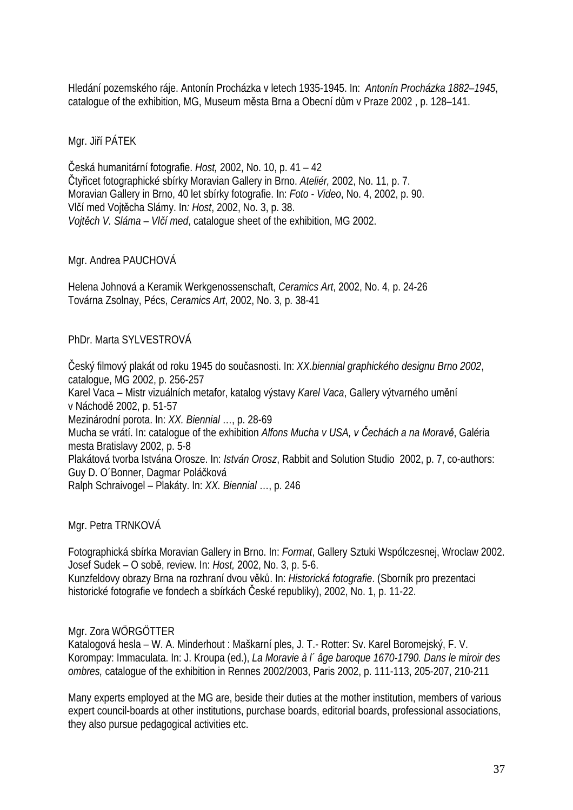Hledání pozemského ráje. Antonín Procházka v letech 1935-1945. In: *Antonín Procházka 1882–1945*, catalogue of the exhibition, MG, Museum města Brna a Obecní dům v Praze 2002 , p. 128–141.

### Mgr. Jiří PÁTEK

Česká humanitární fotografie. *Host,* 2002, No. 10, p. 41 – 42 Čtyřicet fotographické sbírky Moravian Gallery in Brno. *Ateliér,* 2002, No. 11, p. 7. Moravian Gallery in Brno, 40 let sbírky fotografie. In: *Foto - Video*, No. 4, 2002, p. 90. Vlčí med Vojtěcha Slámy. In*: Host*, 2002, No. 3, p. 38. *Vojtěch V. Sláma – Vlčí med*, catalogue sheet of the exhibition, MG 2002.

### Mgr. Andrea PAUCHOVÁ

Helena Johnová a Keramik Werkgenossenschaft, *Ceramics Art*, 2002, No. 4, p. 24-26 Továrna Zsolnay, Pécs, *Ceramics Art*, 2002, No. 3, p. 38-41

### PhDr. Marta SYLVESTROVÁ

Český filmový plakát od roku 1945 do současnosti. In: *XX.biennial graphického designu Brno 2002*, catalogue, MG 2002, p. 256-257 Karel Vaca – Mistr vizuálních metafor, katalog výstavy *Karel Vaca*, Gallery výtvarného umění v Náchodě 2002, p. 51-57 Mezinárodní porota. In: *XX. Biennial* …, p. 28-69 Mucha se vrátí. In: catalogue of the exhibition *Alfons Mucha v USA, v Čechách a na Moravě*, Galéria mesta Bratislavy 2002, p. 5-8 Plakátová tvorba Istvána Orosze. In: *István Orosz*, Rabbit and Solution Studio 2002, p. 7, co-authors: Guy D. O´Bonner, Dagmar Poláčková Ralph Schraivogel – Plakáty. In: *XX. Biennial* …, p. 246

Mgr. Petra TRNKOVÁ

Fotographická sbírka Moravian Gallery in Brno. In: *Format*, Gallery Sztuki Wspólczesnej, Wroclaw 2002. Josef Sudek – O sobě, review. In: *Host,* 2002, No. 3, p. 5-6. Kunzfeldovy obrazy Brna na rozhraní dvou věků. In: *Historická fotografie*. (Sborník pro prezentaci historické fotografie ve fondech a sbírkách České republiky), 2002, No. 1, p. 11-22.

### Mgr. Zora WÖRGÖTTER

Katalogová hesla – W. A. Minderhout : Maškarní ples, J. T.- Rotter: Sv. Karel Boromejský, F. V. Korompay: Immaculata. In: J. Kroupa (ed.), *La Moravie à l´ âge baroque 1670-1790. Dans le miroir des ombres,* catalogue of the exhibition in Rennes 2002/2003, Paris 2002, p. 111-113, 205-207, 210-211

Many experts employed at the MG are, beside their duties at the mother institution, members of various expert council-boards at other institutions, purchase boards, editorial boards, professional associations, they also pursue pedagogical activities etc.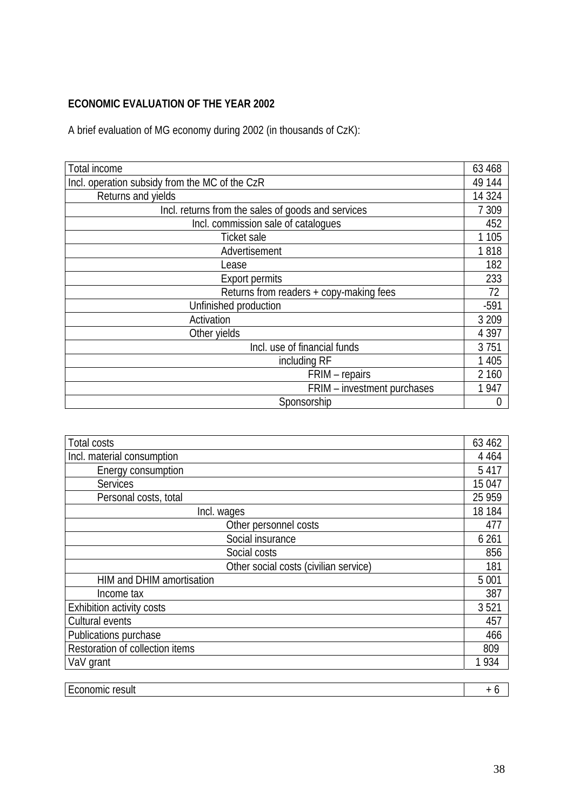# **ECONOMIC EVALUATION OF THE YEAR 2002**

A brief evaluation of MG economy during 2002 (in thousands of CzK):

| Total income                                       | 63 468  |
|----------------------------------------------------|---------|
| Incl. operation subsidy from the MC of the CzR     | 49 144  |
| Returns and yields                                 | 14 3 24 |
| Incl. returns from the sales of goods and services | 7 3 0 9 |
| Incl. commission sale of catalogues                | 452     |
| <b>Ticket sale</b>                                 | 1 1 0 5 |
| Advertisement                                      | 1818    |
| Lease                                              | 182     |
| <b>Export permits</b>                              | 233     |
| Returns from readers + copy-making fees            | 72      |
| Unfinished production                              | $-591$  |
| Activation                                         | 3 2 0 9 |
| Other yields                                       | 4 3 9 7 |
| Incl. use of financial funds                       | 3751    |
| including RF                                       | 1 4 0 5 |
| FRIM - repairs                                     | 2 160   |
| FRIM - investment purchases                        | 1947    |
| Sponsorship                                        | 0       |

| Total costs                           | 63 462  |
|---------------------------------------|---------|
| Incl. material consumption            | 4 4 6 4 |
| Energy consumption                    | 5 4 1 7 |
| <b>Services</b>                       | 15 047  |
| Personal costs, total                 | 25 9 59 |
| Incl. wages                           | 18 184  |
| Other personnel costs                 | 477     |
| Social insurance                      | 6 2 6 1 |
| Social costs                          | 856     |
| Other social costs (civilian service) | 181     |
| HIM and DHIM amortisation             | 5 0 0 1 |
| Income tax                            | 387     |
| Exhibition activity costs             | 3521    |
| Cultural events                       | 457     |
| Publications purchase                 | 466     |
| Restoration of collection items       | 809     |
| VaV grant                             | 1934    |
|                                       |         |
| Economic result                       | $+6$    |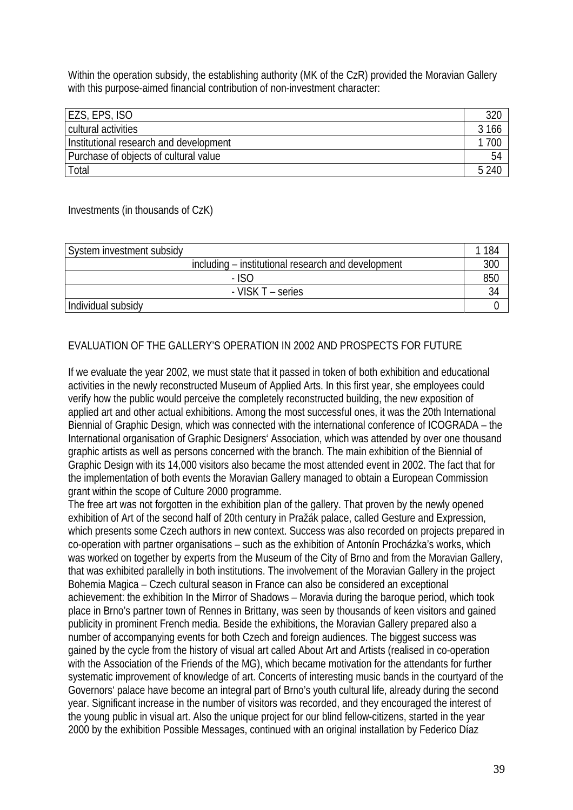Within the operation subsidy, the establishing authority (MK of the CzR) provided the Moravian Gallery with this purpose-aimed financial contribution of non-investment character:

| EZS, EPS, ISO                          | 320    |
|----------------------------------------|--------|
| cultural activities                    | 166    |
| Institutional research and development | 700    |
| Purchase of objects of cultural value  | 54     |
| Total                                  | .5.240 |

### Investments (in thousands of CzK)

| System investment subsidy                          | 184 |
|----------------------------------------------------|-----|
| including – institutional research and development | 300 |
| - ISO                                              | 850 |
| - VISK T – series                                  |     |
| Individual subsidy                                 |     |

# EVALUATION OF THE GALLERY'S OPERATION IN 2002 AND PROSPECTS FOR FUTURE

If we evaluate the year 2002, we must state that it passed in token of both exhibition and educational activities in the newly reconstructed Museum of Applied Arts. In this first year, she employees could verify how the public would perceive the completely reconstructed building, the new exposition of applied art and other actual exhibitions. Among the most successful ones, it was the 20th International Biennial of Graphic Design, which was connected with the international conference of ICOGRADA – the International organisation of Graphic Designers' Association, which was attended by over one thousand graphic artists as well as persons concerned with the branch. The main exhibition of the Biennial of Graphic Design with its 14,000 visitors also became the most attended event in 2002. The fact that for the implementation of both events the Moravian Gallery managed to obtain a European Commission grant within the scope of Culture 2000 programme.

The free art was not forgotten in the exhibition plan of the gallery. That proven by the newly opened exhibition of Art of the second half of 20th century in Pražák palace, called Gesture and Expression, which presents some Czech authors in new context. Success was also recorded on projects prepared in co-operation with partner organisations – such as the exhibition of Antonín Procházka's works, which was worked on together by experts from the Museum of the City of Brno and from the Moravian Gallery, that was exhibited parallelly in both institutions. The involvement of the Moravian Gallery in the project Bohemia Magica – Czech cultural season in France can also be considered an exceptional achievement: the exhibition In the Mirror of Shadows – Moravia during the baroque period, which took place in Brno's partner town of Rennes in Brittany, was seen by thousands of keen visitors and gained publicity in prominent French media. Beside the exhibitions, the Moravian Gallery prepared also a number of accompanying events for both Czech and foreign audiences. The biggest success was gained by the cycle from the history of visual art called About Art and Artists (realised in co-operation with the Association of the Friends of the MG), which became motivation for the attendants for further systematic improvement of knowledge of art. Concerts of interesting music bands in the courtyard of the Governors' palace have become an integral part of Brno's youth cultural life, already during the second year. Significant increase in the number of visitors was recorded, and they encouraged the interest of the young public in visual art. Also the unique project for our blind fellow-citizens, started in the year 2000 by the exhibition Possible Messages, continued with an original installation by Federico Díaz